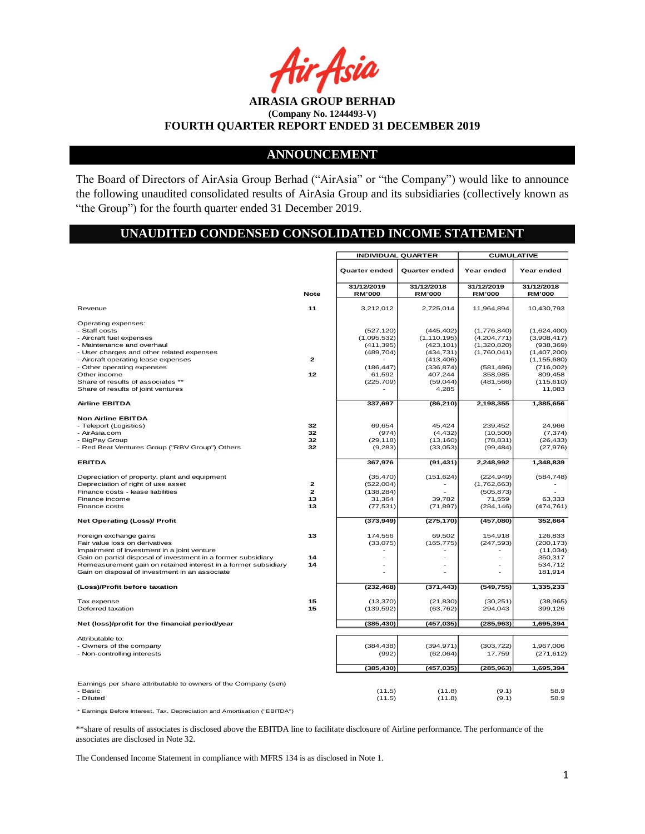Asia

# **ANNOUNCEMENT**

The Board of Directors of AirAsia Group Berhad ("AirAsia" or "the Company") would like to announce the following unaudited consolidated results of AirAsia Group and its subsidiaries (collectively known as "the Group") for the fourth quarter ended 31 December 2019.

### **UNAUDITED CONDENSED CONSOLIDATED INCOME STATEMENT**

|                                                                |              | <b>INDIVIDUAL QUARTER</b> |                       | <b>CUMULATIVE</b>        |                       |  |
|----------------------------------------------------------------|--------------|---------------------------|-----------------------|--------------------------|-----------------------|--|
|                                                                |              | Quarter ended             | <b>Quarter ended</b>  | Year ended               | Year ended            |  |
|                                                                |              | 31/12/2019                | 31/12/2018            | 31/12/2019               | 31/12/2018            |  |
|                                                                | <b>Note</b>  | <b>RM'000</b>             | <b>RM'000</b>         | <b>RM'000</b>            | <b>RM'000</b>         |  |
| Revenue                                                        | 11           | 3,212,012                 | 2,725,014             | 11,964,894               | 10,430,793            |  |
| Operating expenses:                                            |              |                           |                       |                          |                       |  |
| - Staff costs                                                  |              | (527, 120)                | (445, 402)            | (1,776,840)              | (1,624,400)           |  |
| - Aircraft fuel expenses                                       |              | (1,095,532)               | (1, 110, 195)         | (4,204,771)              | (3,908,417)           |  |
| - Maintenance and overhaul                                     |              | (411, 395)                | (423, 101)            | (1,320,820)              | (938, 369)            |  |
| - User charges and other related expenses                      |              | (489, 704)                | (434, 731)            | (1,760,041)              | (1,407,200)           |  |
| - Aircraft operating lease expenses                            | $\mathbf{z}$ |                           | (413, 406)            |                          | (1, 155, 680)         |  |
| - Other operating expenses<br>Other income                     | 12           | (186, 447)                | (336, 874)<br>407,244 | (581, 486)<br>358.985    | (716,002)             |  |
| Share of results of associates **                              |              | 61,592<br>(225, 709)      | (59,044)              | (481, 566)               | 809,458<br>(115, 610) |  |
|                                                                |              |                           |                       |                          |                       |  |
| Share of results of joint ventures                             |              |                           | 4,285                 |                          | 11,083                |  |
| <b>Airline EBITDA</b>                                          |              | 337,697                   | (86, 210)             | 2,198,355                | 1,385,656             |  |
| <b>Non Airline EBITDA</b>                                      |              |                           |                       |                          |                       |  |
| - Teleport (Logistics)                                         | 32           | 69,654                    | 45,424                | 239,452                  | 24,966                |  |
| - AirAsia.com                                                  | 32           | (974)                     | (4, 432)              | (10, 500)                | (7, 374)              |  |
| - BigPay Group                                                 | 32           | (29, 118)                 | (13, 160)             | (78, 831)                | (26, 433)             |  |
| - Red Beat Ventures Group ("RBV Group") Others                 | 32           | (9,283)                   | (33,053)              | (99, 484)                | (27, 976)             |  |
| <b>EBITDA</b>                                                  |              | 367,976                   | (91, 431)             | 2,248,992                | 1,348,839             |  |
| Depreciation of property, plant and equipment                  |              | (35, 470)                 | (151, 624)            | (224, 949)               | (584, 748)            |  |
| Depreciation of right of use asset                             | $\mathbf{z}$ | (522,004)                 |                       | (1,762,663)              |                       |  |
| Finance costs - lease liabilities                              | $\mathbf{z}$ | (138, 284)                |                       | (505, 873)               |                       |  |
| Finance income                                                 | 13           | 31,364                    | 39.782                | 71,559                   | 63.333                |  |
| Finance costs                                                  | 13           | (77, 531)                 | (71, 897)             | (284, 146)               | (474, 761)            |  |
|                                                                |              |                           |                       |                          |                       |  |
| <b>Net Operating (Loss)/ Profit</b>                            |              | (373, 949)                | (275, 170)            | (457,080)                | 352,664               |  |
| Foreign exchange gains                                         | 13           | 174,556                   | 69,502                | 154,918                  | 126,833               |  |
| Fair value loss on derivatives                                 |              | (33,075)                  | (165, 775)            | (247, 593)               | (200, 173)            |  |
| Impairment of investment in a joint venture                    |              |                           |                       |                          | (11, 034)             |  |
| Gain on partial disposal of investment in a former subsidiary  | 14           |                           | ä,                    | $\overline{\phantom{a}}$ | 350,317               |  |
| Remeasurement gain on retained interest in a former subsidiary | 14           |                           | L,                    |                          | 534,712               |  |
| Gain on disposal of investment in an associate                 |              |                           |                       |                          | 181,914               |  |
| (Loss)/Profit before taxation                                  |              | (232, 468)                | (371, 443)            | (549, 755)               | 1,335,233             |  |
| Tax expense                                                    | 15           | (13, 370)                 | (21, 830)             | (30, 251)                |                       |  |
|                                                                | 15           |                           |                       |                          | (38, 965)             |  |
| Deferred taxation                                              |              | (139, 592)                | (63, 762)             | 294,043                  | 399,126               |  |
| Net (loss)/profit for the financial period/year                |              | (385, 430)                | (457, 035)            | (285, 963)               | 1,695,394             |  |
| Attributable to:                                               |              |                           |                       |                          |                       |  |
| - Owners of the company                                        |              | (384, 438)                | (394, 971)            | (303, 722)               | 1,967,006             |  |
| - Non-controlling interests                                    |              | (992)                     | (62,064)              | 17,759                   | (271, 612)            |  |
|                                                                |              |                           |                       |                          |                       |  |
|                                                                |              | (385, 430)                | (457, 035)            | (285, 963)               | 1,695,394             |  |
| Earnings per share attributable to owners of the Company (sen) |              |                           |                       |                          |                       |  |
| - Basic                                                        |              | (11.5)                    | (11.8)                | (9.1)                    | 58.9                  |  |
| - Diluted                                                      |              | (11.5)                    | (11.8)                | (9.1)                    | 58.9                  |  |
|                                                                |              |                           |                       |                          |                       |  |

\* Earnings Before Interest, Tax, Depreciation and Amortisation ("EBITDA")

\*\*share of results of associates is disclosed above the EBITDA line to facilitate disclosure of Airline performance. The performance of the associates are disclosed in Note 32.

The Condensed Income Statement in compliance with MFRS 134 is as disclosed in Note 1.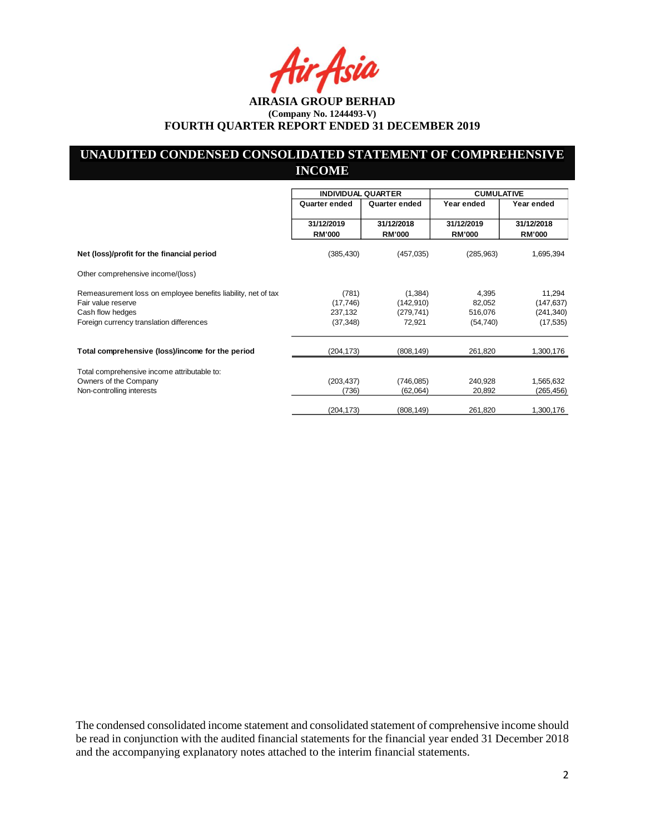Asia

# **UNAUDITED CONDENSED CONSOLIDATED STATEMENT OF COMPREHENSIVE INCOME**

|                                                                                     | <b>INDIVIDUAL QUARTER</b>   |                             | <b>CUMULATIVE</b>           |                             |
|-------------------------------------------------------------------------------------|-----------------------------|-----------------------------|-----------------------------|-----------------------------|
|                                                                                     | Quarter ended               | Quarter ended               | Year ended                  | Year ended                  |
|                                                                                     | 31/12/2019<br><b>RM'000</b> | 31/12/2018<br><b>RM'000</b> | 31/12/2019<br><b>RM'000</b> | 31/12/2018<br><b>RM'000</b> |
| Net (loss)/profit for the financial period                                          | (385, 430)                  | (457, 035)                  | (285,963)                   | 1,695,394                   |
| Other comprehensive income/(loss)                                                   |                             |                             |                             |                             |
| Remeasurement loss on employee benefits liability, net of tax<br>Fair value reserve | (781)<br>(17, 746)          | (1,384)<br>(142, 910)       | 4,395<br>82,052             | 11,294<br>(147, 637)        |
| Cash flow hedges                                                                    | 237,132                     | (279, 741)                  | 516,076                     | (241, 340)                  |
| Foreign currency translation differences                                            | (37, 348)                   | 72,921                      | (54, 740)                   | (17, 535)                   |
| Total comprehensive (loss)/income for the period                                    | (204, 173)                  | (808, 149)                  | 261,820                     | 1,300,176                   |
| Total comprehensive income attributable to:                                         |                             |                             |                             |                             |
| Owners of the Company                                                               | (203, 437)                  | (746, 085)                  | 240,928                     | 1,565,632                   |
| Non-controlling interests                                                           | (736)                       | (62,064)                    | 20,892                      | (265, 456)                  |
|                                                                                     | (204,173)                   | (808, 149)                  | 261,820                     | 1,300,176                   |

The condensed consolidated income statement and consolidated statement of comprehensive income should be read in conjunction with the audited financial statements for the financial year ended 31 December 2018 and the accompanying explanatory notes attached to the interim financial statements.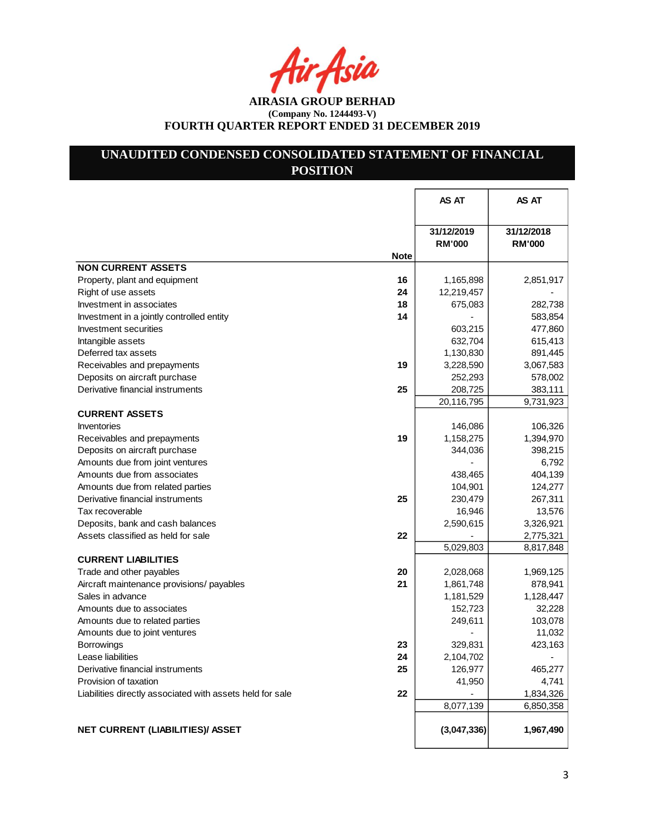tir Asia

**AIRASIA GROUP BERHAD (Company No. 1244493-V) FOURTH QUARTER REPORT ENDED 31 DECEMBER 2019**

# **UNAUDITED CONDENSED CONSOLIDATED STATEMENT OF FINANCIAL POSITION**

|                                                                 | AS AT                       | <b>AS AT</b>  |
|-----------------------------------------------------------------|-----------------------------|---------------|
|                                                                 |                             |               |
|                                                                 | 31/12/2019<br><b>RM'000</b> | 31/12/2018    |
| <b>Note</b>                                                     |                             | <b>RM'000</b> |
| <b>NON CURRENT ASSETS</b>                                       |                             |               |
| Property, plant and equipment<br>16                             | 1,165,898                   | 2,851,917     |
| 24<br>Right of use assets                                       | 12,219,457                  |               |
| Investment in associates<br>18                                  | 675,083                     | 282,738       |
| 14<br>Investment in a jointly controlled entity                 |                             | 583,854       |
| Investment securities                                           | 603,215                     | 477,860       |
| Intangible assets                                               | 632,704                     | 615,413       |
| Deferred tax assets                                             | 1,130,830                   | 891,445       |
| Receivables and prepayments<br>19                               | 3,228,590                   | 3,067,583     |
| Deposits on aircraft purchase                                   | 252,293                     | 578,002       |
| Derivative financial instruments<br>25                          | 208,725                     | 383,111       |
|                                                                 | 20,116,795                  | 9,731,923     |
| <b>CURRENT ASSETS</b>                                           |                             |               |
| Inventories                                                     | 146,086                     | 106,326       |
| 19<br>Receivables and prepayments                               | 1,158,275                   | 1,394,970     |
| Deposits on aircraft purchase                                   | 344,036                     | 398,215       |
| Amounts due from joint ventures                                 |                             | 6,792         |
| Amounts due from associates                                     | 438,465                     | 404,139       |
| Amounts due from related parties                                | 104,901                     | 124,277       |
| 25<br>Derivative financial instruments                          | 230,479                     | 267,311       |
| Tax recoverable                                                 | 16,946                      | 13,576        |
| Deposits, bank and cash balances                                | 2,590,615                   | 3,326,921     |
| 22<br>Assets classified as held for sale                        |                             | 2,775,321     |
|                                                                 | 5,029,803                   | 8,817,848     |
| <b>CURRENT LIABILITIES</b>                                      |                             |               |
| Trade and other payables<br>20                                  | 2,028,068                   | 1,969,125     |
| 21<br>Aircraft maintenance provisions/ payables                 | 1,861,748                   | 878,941       |
| Sales in advance                                                | 1,181,529                   | 1,128,447     |
| Amounts due to associates                                       | 152,723                     | 32,228        |
| Amounts due to related parties                                  | 249,611                     | 103,078       |
| Amounts due to joint ventures                                   |                             | 11,032        |
| 23<br><b>Borrowings</b>                                         | 329,831                     | 423,163       |
| 24<br>Lease liabilities                                         | 2,104,702                   |               |
| Derivative financial instruments<br>25                          | 126,977                     | 465,277       |
| Provision of taxation                                           | 41,950                      | 4,741         |
| 22<br>Liabilities directly associated with assets held for sale |                             | 1,834,326     |
|                                                                 | 8,077,139                   | 6,850,358     |
| NET CURRENT (LIABILITIES)/ ASSET                                | (3,047,336)                 | 1,967,490     |
|                                                                 |                             |               |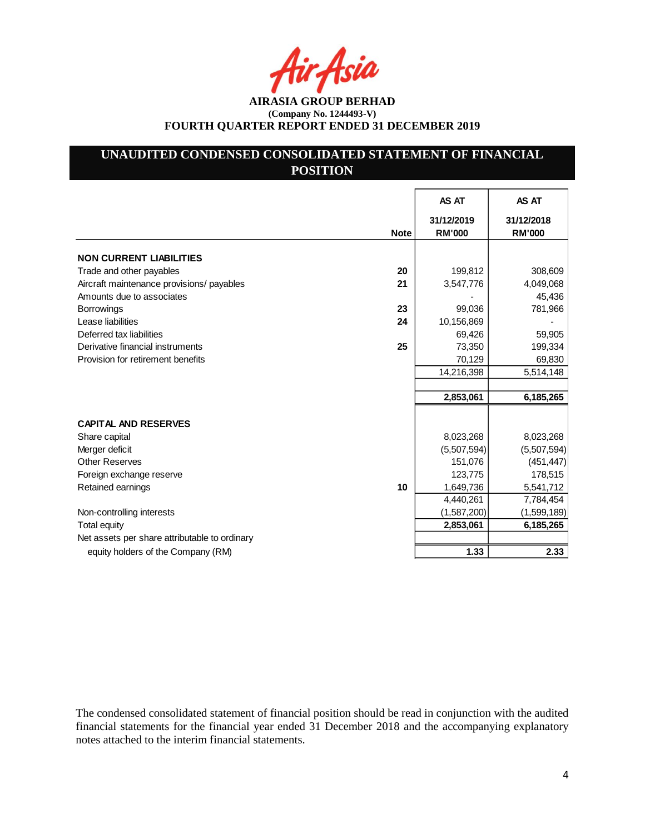Asia

**AIRASIA GROUP BERHAD (Company No. 1244493-V) FOURTH QUARTER REPORT ENDED 31 DECEMBER 2019**

# **UNAUDITED CONDENSED CONSOLIDATED STATEMENT OF FINANCIAL POSITION**

|                                               |             | AS AT                       | AS AT                       |
|-----------------------------------------------|-------------|-----------------------------|-----------------------------|
|                                               | <b>Note</b> | 31/12/2019<br><b>RM'000</b> | 31/12/2018<br><b>RM'000</b> |
| <b>NON CURRENT LIABILITIES</b>                |             |                             |                             |
| Trade and other payables                      | 20          | 199,812                     | 308,609                     |
| Aircraft maintenance provisions/ payables     | 21          | 3,547,776                   | 4,049,068                   |
| Amounts due to associates                     |             |                             | 45,436                      |
| <b>Borrowings</b>                             | 23          | 99,036                      | 781,966                     |
| Lease liabilities                             | 24          | 10,156,869                  |                             |
| Deferred tax liabilities                      |             | 69,426                      | 59,905                      |
| Derivative financial instruments              | 25          | 73,350                      | 199,334                     |
| Provision for retirement benefits             |             | 70,129                      | 69,830                      |
|                                               |             | 14,216,398                  | 5,514,148                   |
|                                               |             |                             |                             |
|                                               |             | 2,853,061                   | 6,185,265                   |
| <b>CAPITAL AND RESERVES</b>                   |             |                             |                             |
| Share capital                                 |             | 8,023,268                   | 8,023,268                   |
| Merger deficit                                |             | (5,507,594)                 | (5,507,594)                 |
| <b>Other Reserves</b>                         |             | 151,076                     | (451, 447)                  |
| Foreign exchange reserve                      |             | 123,775                     | 178,515                     |
| Retained earnings                             | 10          | 1,649,736                   | 5,541,712                   |
|                                               |             | 4,440,261                   | 7,784,454                   |
| Non-controlling interests                     |             | (1,587,200)                 | (1,599,189)                 |
| <b>Total equity</b>                           |             | 2,853,061                   | 6,185,265                   |
| Net assets per share attributable to ordinary |             |                             |                             |
| equity holders of the Company (RM)            |             | 1.33                        | 2.33                        |

The condensed consolidated statement of financial position should be read in conjunction with the audited financial statements for the financial year ended 31 December 2018 and the accompanying explanatory notes attached to the interim financial statements.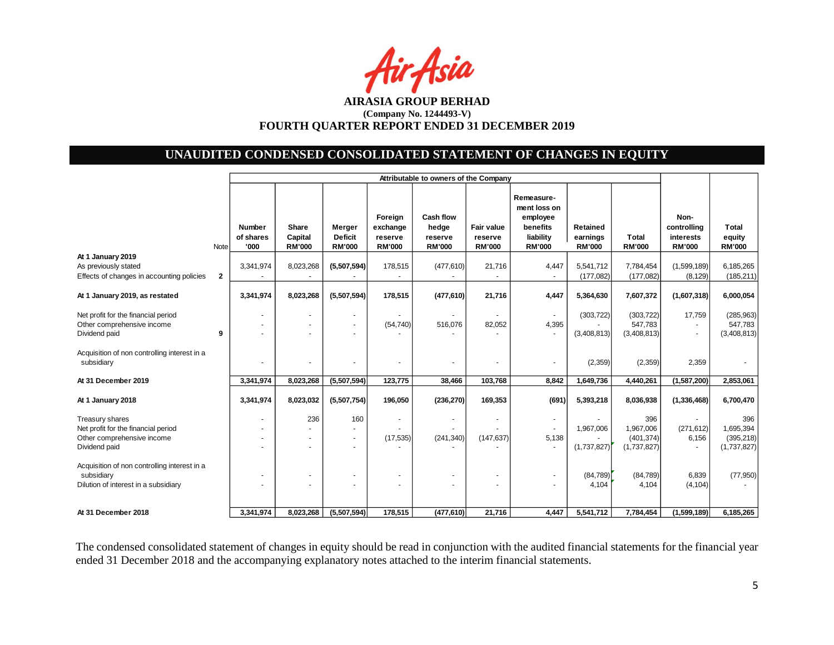

# **UNAUDITED CONDENSED CONSOLIDATED STATEMENT OF CHANGES IN EQUITY**

|                                                                                                                                                       |              | Attributable to owners of the Company |                                   |                                                  |                                                 |                                                       |                                                          |                                                                                  |                                       |                                               |                                                   |                                               |
|-------------------------------------------------------------------------------------------------------------------------------------------------------|--------------|---------------------------------------|-----------------------------------|--------------------------------------------------|-------------------------------------------------|-------------------------------------------------------|----------------------------------------------------------|----------------------------------------------------------------------------------|---------------------------------------|-----------------------------------------------|---------------------------------------------------|-----------------------------------------------|
|                                                                                                                                                       | <b>Note</b>  | Number<br>of shares<br>'000           | Share<br>Capital<br><b>RM'000</b> | <b>Merger</b><br><b>Deficit</b><br><b>RM'000</b> | Foreign<br>exchange<br>reserve<br><b>RM'000</b> | <b>Cash flow</b><br>hedge<br>reserve<br><b>RM'000</b> | <b>Fair value</b><br>reserve<br><b>RM'000</b>            | Remeasure-<br>ment loss on<br>employee<br>benefits<br>liability<br><b>RM'000</b> | Retained<br>earnings<br><b>RM'000</b> | <b>Total</b><br><b>RM'000</b>                 | Non-<br>controlling<br>interests<br><b>RM'000</b> | <b>Total</b><br>equity<br><b>RM'000</b>       |
| At 1 January 2019<br>As previously stated<br>Effects of changes in accounting policies                                                                | $\mathbf{2}$ | 3,341,974                             | 8,023,268                         | (5,507,594)                                      | 178,515                                         | (477, 610)                                            | 21,716                                                   | 4,447                                                                            | 5,541,712<br>(177, 082)               | 7,784,454<br>(177,082)                        | (1,599,189)<br>(8, 129)                           | 6,185,265<br>(185, 211)                       |
| At 1 January 2019, as restated                                                                                                                        |              | 3,341,974                             | 8,023,268                         | (5,507,594)                                      | 178,515                                         | (477, 610)                                            | 21,716                                                   | 4,447                                                                            | 5,364,630                             | 7,607,372                                     | (1,607,318)                                       | 6,000,054                                     |
| Net profit for the financial period<br>Other comprehensive income<br>Dividend paid                                                                    | 9            |                                       |                                   | $\overline{\phantom{a}}$                         | (54, 740)                                       | 516,076                                               | 82,052                                                   | $\overline{\phantom{a}}$<br>4,395<br>$\overline{\phantom{a}}$                    | (303, 722)<br>(3,408,813)             | (303, 722)<br>547,783<br>(3,408,813)          | 17,759                                            | (285, 963)<br>547,783<br>(3,408,813)          |
| Acquisition of non controlling interest in a<br>subsidiary                                                                                            |              | ٠                                     | ٠                                 | $\overline{\phantom{a}}$                         |                                                 | $\sim$                                                | $\overline{\phantom{a}}$                                 | $\overline{\phantom{a}}$                                                         | (2, 359)                              | (2,359)                                       | 2,359                                             |                                               |
| At 31 December 2019                                                                                                                                   |              | 3,341,974                             | 8,023,268                         | (5,507,594)                                      | 123,775                                         | 38,466                                                | 103,768                                                  | 8,842                                                                            | 1,649,736                             | 4,440,261                                     | (1,587,200)                                       | 2,853,061                                     |
| At 1 January 2018                                                                                                                                     |              | 3,341,974                             | 8,023,032                         | (5,507,754)                                      | 196,050                                         | (236, 270)                                            | 169,353                                                  | (691)                                                                            | 5,393,218                             | 8,036,938                                     | (1, 336, 468)                                     | 6,700,470                                     |
| Treasury shares<br>Net profit for the financial period<br>Other comprehensive income<br>Dividend paid<br>Acquisition of non controlling interest in a |              |                                       | 236<br>٠                          | 160<br>$\overline{\phantom{a}}$<br>$\sim$        | (17, 535)                                       | (241, 340)                                            | $\overline{\phantom{a}}$<br>$\blacksquare$<br>(147, 637) | $\sim$<br>$\overline{\phantom{a}}$<br>5,138<br>$\sim$                            | 1,967,006<br>(1,737,827)              | 396<br>1,967,006<br>(401, 374)<br>(1,737,827) | (271, 612)<br>6,156<br>$\sim$                     | 396<br>1,695,394<br>(395, 218)<br>(1,737,827) |
| subsidiary<br>Dilution of interest in a subsidiary                                                                                                    |              |                                       | ٠                                 | $\sim$                                           |                                                 |                                                       | $\overline{\phantom{a}}$<br>$\sim$                       | $\blacksquare$<br>$\blacksquare$                                                 | (84,789)<br>4,104                     | (84, 789)<br>4,104                            | 6.839<br>(4, 104)                                 | (77, 950)                                     |
| At 31 December 2018                                                                                                                                   |              | 3,341,974                             | 8,023,268                         | (5,507,594)                                      | 178,515                                         | (477, 610)                                            | 21,716                                                   | 4,447                                                                            | 5,541,712                             | 7,784,454                                     | (1,599,189)                                       | 6,185,265                                     |

The condensed consolidated statement of changes in equity should be read in conjunction with the audited financial statements for the financial year ended 31 December 2018 and the accompanying explanatory notes attached to the interim financial statements.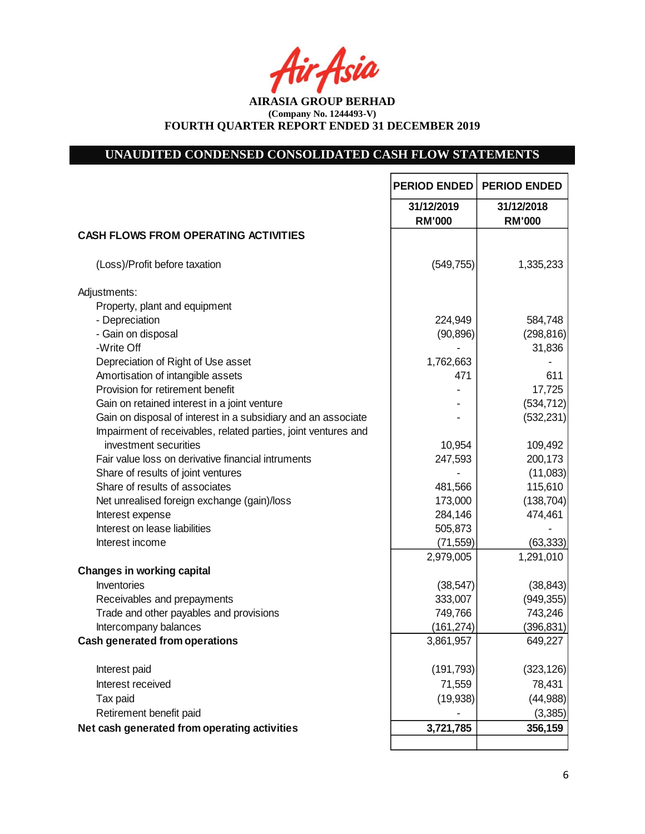tir Asia

**AIRASIA GROUP BERHAD (Company No. 1244493-V) FOURTH QUARTER REPORT ENDED 31 DECEMBER 2019**

# **UNAUDITED CONDENSED CONSOLIDATED CASH FLOW STATEMENTS**

|                                                                | <b>PERIOD ENDED</b>         | <b>PERIOD ENDED</b>         |
|----------------------------------------------------------------|-----------------------------|-----------------------------|
|                                                                | 31/12/2019<br><b>RM'000</b> | 31/12/2018<br><b>RM'000</b> |
| <b>CASH FLOWS FROM OPERATING ACTIVITIES</b>                    |                             |                             |
| (Loss)/Profit before taxation                                  | (549, 755)                  | 1,335,233                   |
| Adjustments:                                                   |                             |                             |
| Property, plant and equipment                                  |                             |                             |
| - Depreciation                                                 | 224,949                     | 584,748                     |
| - Gain on disposal                                             | (90, 896)                   | (298, 816)                  |
| -Write Off                                                     |                             | 31,836                      |
| Depreciation of Right of Use asset                             | 1,762,663                   |                             |
| Amortisation of intangible assets                              | 471                         | 611                         |
| Provision for retirement benefit                               |                             | 17,725                      |
| Gain on retained interest in a joint venture                   |                             | (534, 712)                  |
| Gain on disposal of interest in a subsidiary and an associate  |                             | (532, 231)                  |
| Impairment of receivables, related parties, joint ventures and |                             |                             |
| investment securities                                          | 10,954                      | 109,492                     |
| Fair value loss on derivative financial intruments             | 247,593                     | 200,173                     |
| Share of results of joint ventures                             |                             | (11,083)                    |
| Share of results of associates                                 | 481,566                     | 115,610                     |
| Net unrealised foreign exchange (gain)/loss                    | 173,000                     | (138, 704)                  |
| Interest expense                                               | 284,146                     | 474,461                     |
| Interest on lease liabilities                                  | 505,873                     |                             |
| Interest income                                                | (71, 559)                   | (63, 333)                   |
|                                                                | 2,979,005                   | 1,291,010                   |
| <b>Changes in working capital</b>                              |                             |                             |
| Inventories                                                    | (38, 547)                   | (38, 843)                   |
| Receivables and prepayments                                    | 333,007                     | (949, 355)                  |
| Trade and other payables and provisions                        | 749,766                     | 743,246                     |
| Intercompany balances                                          | (161, 274)                  | (396, 831)                  |
| <b>Cash generated from operations</b>                          | 3,861,957                   | 649,227                     |
| Interest paid                                                  | (191, 793)                  | (323, 126)                  |
| Interest received                                              | 71,559                      | 78,431                      |
| Tax paid                                                       | (19, 938)                   | (44, 988)                   |
| Retirement benefit paid                                        |                             | (3, 385)                    |
| Net cash generated from operating activities                   | 3,721,785                   | 356,159                     |
|                                                                |                             |                             |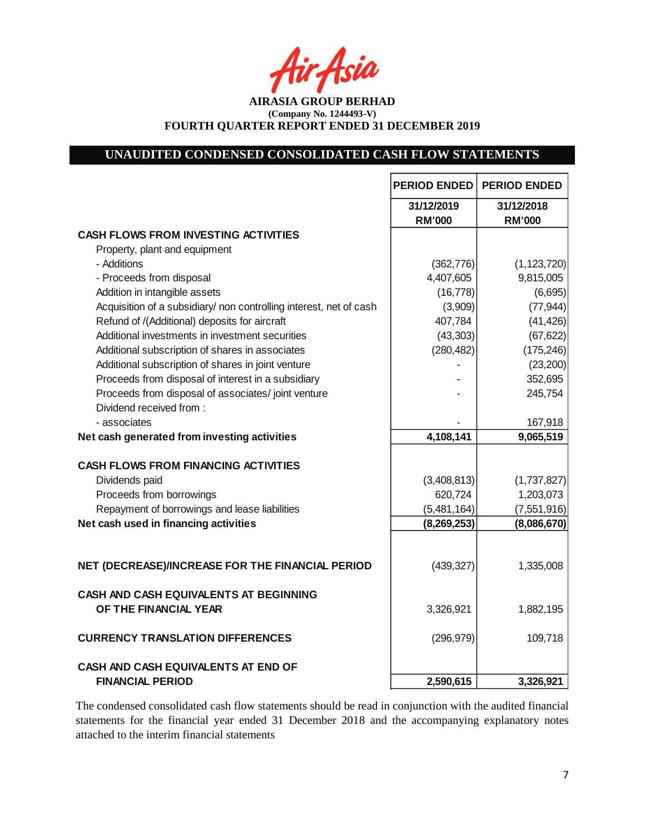Asia

**AIRASIA GROUP BERHAD (Company No. 1244493-V) FOURTH QUARTER REPORT ENDED 31 DECEMBER 2019**

# **UNAUDITED CONDENSED CONSOLIDATED CASH FLOW STATEMENTS**

|                                                                    | <b>PERIOD ENDED</b> | <b>PERIOD ENDED</b> |
|--------------------------------------------------------------------|---------------------|---------------------|
|                                                                    | 31/12/2019          | 31/12/2018          |
|                                                                    | <b>RM'000</b>       | <b>RM'000</b>       |
| <b>CASH FLOWS FROM INVESTING ACTIVITIES</b>                        |                     |                     |
| Property, plant and equipment                                      |                     |                     |
| - Additions                                                        | (362, 776)          | (1, 123, 720)       |
| - Proceeds from disposal                                           | 4,407,605           | 9,815,005           |
| Addition in intangible assets                                      | (16, 778)           | (6,695)             |
| Acquisition of a subsidiary/ non controlling interest, net of cash | (3,909)             | (77, 944)           |
| Refund of /(Additional) deposits for aircraft                      | 407,784             | (41, 426)           |
| Additional investments in investment securities                    | (43, 303)           | (67, 622)           |
| Additional subscription of shares in associates                    | (280, 482)          | (175, 246)          |
| Additional subscription of shares in joint venture                 |                     | (23, 200)           |
| Proceeds from disposal of interest in a subsidiary                 |                     | 352,695             |
| Proceeds from disposal of associates/joint venture                 |                     | 245,754             |
| Dividend received from:                                            |                     |                     |
| - associates                                                       |                     | 167,918             |
| Net cash generated from investing activities                       | 4,108,141           | 9,065,519           |
| <b>CASH FLOWS FROM FINANCING ACTIVITIES</b>                        |                     |                     |
| Dividends paid                                                     | (3,408,813)         | (1,737,827)         |
| Proceeds from borrowings                                           | 620,724             | 1,203,073           |
| Repayment of borrowings and lease liabilities                      | (5,481,164)         | (7, 551, 916)       |
| Net cash used in financing activities                              | (8, 269, 253)       | (8,086,670)         |
|                                                                    |                     |                     |
|                                                                    |                     |                     |
| NET (DECREASE)/INCREASE FOR THE FINANCIAL PERIOD                   | (439, 327)          | 1,335,008           |
| <b>CASH AND CASH EQUIVALENTS AT BEGINNING</b>                      |                     |                     |
| OF THE FINANCIAL YEAR                                              | 3,326,921           | 1,882,195           |
|                                                                    |                     |                     |
| <b>CURRENCY TRANSLATION DIFFERENCES</b>                            | (296, 979)          | 109,718             |
| CASH AND CASH EQUIVALENTS AT END OF                                |                     |                     |
| <b>FINANCIAL PERIOD</b>                                            | 2,590,615           | 3,326,921           |

The condensed consolidated cash flow statements should be read in conjunction with the audited financial statements for the financial year ended 31 December 2018 and the accompanying explanatory notes attached to the interim financial statements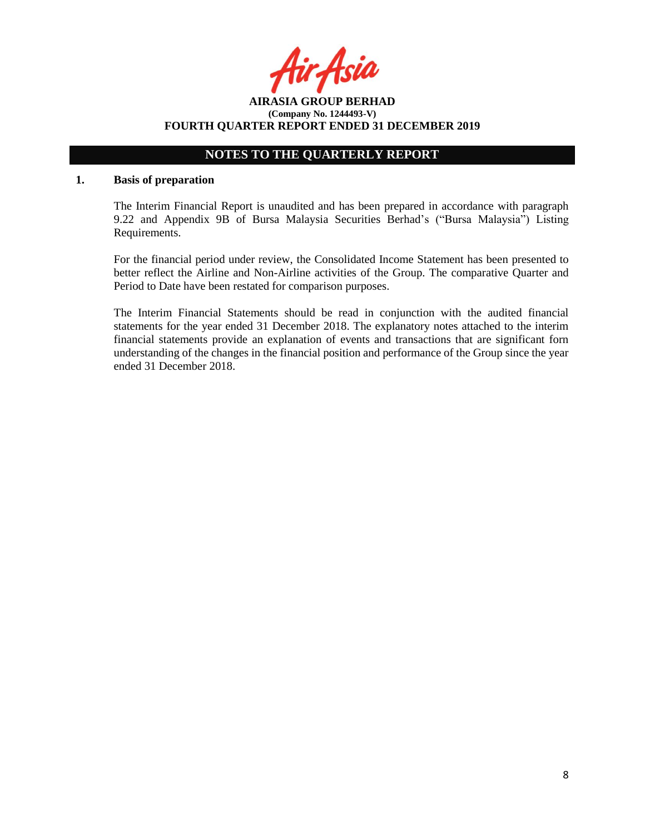Acia

**AIRASIA GROUP BERHAD (Company No. 1244493-V) FOURTH QUARTER REPORT ENDED 31 DECEMBER 2019**

# **NOTES TO THE QUARTERLY REPORT**

### **1. Basis of preparation**

The Interim Financial Report is unaudited and has been prepared in accordance with paragraph 9.22 and Appendix 9B of Bursa Malaysia Securities Berhad's ("Bursa Malaysia") Listing Requirements.

For the financial period under review, the Consolidated Income Statement has been presented to better reflect the Airline and Non-Airline activities of the Group. The comparative Quarter and Period to Date have been restated for comparison purposes.

The Interim Financial Statements should be read in conjunction with the audited financial statements for the year ended 31 December 2018. The explanatory notes attached to the interim financial statements provide an explanation of events and transactions that are significant forn understanding of the changes in the financial position and performance of the Group since the year ended 31 December 2018.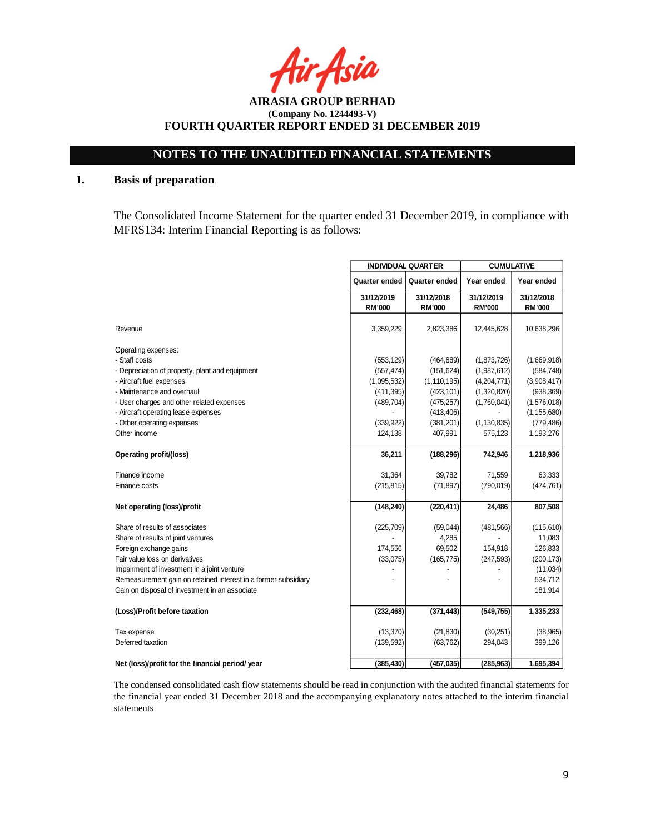Asia

**AIRASIA GROUP BERHAD (Company No. 1244493-V) FOURTH QUARTER REPORT ENDED 31 DECEMBER 2019**

# **1. Basis of preparation**

The Consolidated Income Statement for the quarter ended 31 December 2019, in compliance with MFRS134: Interim Financial Reporting is as follows:

|                                                                | <b>INDIVIDUAL QUARTER</b> |               | <b>CUMULATIVE</b> |               |
|----------------------------------------------------------------|---------------------------|---------------|-------------------|---------------|
|                                                                | Quarter ended             | Quarter ended | Year ended        | Year ended    |
|                                                                | 31/12/2019                | 31/12/2018    | 31/12/2019        | 31/12/2018    |
|                                                                | <b>RM'000</b>             | <b>RM'000</b> | <b>RM'000</b>     | <b>RM'000</b> |
|                                                                |                           |               |                   |               |
| Revenue                                                        | 3,359,229                 | 2,823,386     | 12,445,628        | 10,638,296    |
| Operating expenses:                                            |                           |               |                   |               |
| - Staff costs                                                  | (553, 129)                | (464, 889)    | (1,873,726)       | (1,669,918)   |
| - Depreciation of property, plant and equipment                | (557, 474)                | (151, 624)    | (1,987,612)       | (584, 748)    |
| - Aircraft fuel expenses                                       | (1,095,532)               | (1, 110, 195) | (4,204,771)       | (3,908,417)   |
| - Maintenance and overhaul                                     | (411, 395)                | (423, 101)    | (1,320,820)       | (938, 369)    |
| - User charges and other related expenses                      | (489, 704)                | (475, 257)    | (1,760,041)       | (1,576,018)   |
| - Aircraft operating lease expenses                            |                           | (413, 406)    |                   | (1, 155, 680) |
| - Other operating expenses                                     | (339, 922)                | (381, 201)    | (1, 130, 835)     | (779, 486)    |
| Other income                                                   | 124,138                   | 407,991       | 575,123           | 1,193,276     |
| <b>Operating profit/(loss)</b>                                 | 36,211                    | (188, 296)    | 742,946           | 1,218,936     |
| Finance income                                                 | 31,364                    | 39,782        | 71,559            | 63,333        |
| Finance costs                                                  | (215, 815)                | (71, 897)     | (790, 019)        | (474, 761)    |
| Net operating (loss)/profit                                    | (148, 240)                | (220, 411)    | 24,486            | 807,508       |
| Share of results of associates                                 | (225, 709)                | (59,044)      | (481, 566)        | (115, 610)    |
| Share of results of joint ventures                             |                           | 4,285         |                   | 11,083        |
| Foreign exchange gains                                         | 174,556                   | 69,502        | 154,918           | 126,833       |
| Fair value loss on derivatives                                 | (33,075)                  | (165, 775)    | (247, 593)        | (200, 173)    |
| Impairment of investment in a joint venture                    |                           |               |                   | (11, 034)     |
| Remeasurement gain on retained interest in a former subsidiary |                           |               |                   | 534,712       |
| Gain on disposal of investment in an associate                 |                           |               |                   | 181,914       |
| (Loss)/Profit before taxation                                  | (232, 468)                | (371, 443)    | (549, 755)        | 1,335,233     |
| Tax expense                                                    | (13, 370)                 | (21, 830)     | (30, 251)         | (38, 965)     |
| Deferred taxation                                              | (139, 592)                | (63, 762)     | 294,043           | 399,126       |
| Net (loss)/profit for the financial period/ year               | (385, 430)                | (457, 035)    | (285, 963)        | 1,695,394     |

The condensed consolidated cash flow statements should be read in conjunction with the audited financial statements for the financial year ended 31 December 2018 and the accompanying explanatory notes attached to the interim financial statements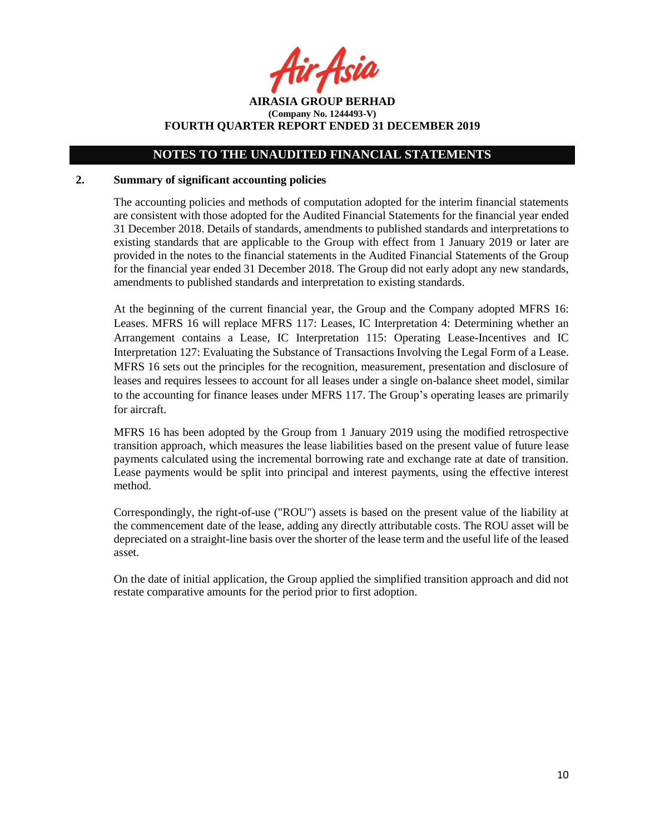r Asia

**AIRASIA GROUP BERHAD (Company No. 1244493-V) FOURTH QUARTER REPORT ENDED 31 DECEMBER 2019**

### **2. Summary of significant accounting policies**

The accounting policies and methods of computation adopted for the interim financial statements are consistent with those adopted for the Audited Financial Statements for the financial year ended 31 December 2018. Details of standards, amendments to published standards and interpretations to existing standards that are applicable to the Group with effect from 1 January 2019 or later are provided in the notes to the financial statements in the Audited Financial Statements of the Group for the financial year ended 31 December 2018. The Group did not early adopt any new standards, amendments to published standards and interpretation to existing standards.

At the beginning of the current financial year, the Group and the Company adopted MFRS 16: Leases. MFRS 16 will replace MFRS 117: Leases, IC Interpretation 4: Determining whether an Arrangement contains a Lease, IC Interpretation 115: Operating Lease-Incentives and IC Interpretation 127: Evaluating the Substance of Transactions Involving the Legal Form of a Lease. MFRS 16 sets out the principles for the recognition, measurement, presentation and disclosure of leases and requires lessees to account for all leases under a single on-balance sheet model, similar to the accounting for finance leases under MFRS 117. The Group's operating leases are primarily for aircraft.

MFRS 16 has been adopted by the Group from 1 January 2019 using the modified retrospective transition approach, which measures the lease liabilities based on the present value of future lease payments calculated using the incremental borrowing rate and exchange rate at date of transition. Lease payments would be split into principal and interest payments, using the effective interest method.

Correspondingly, the right-of-use ("ROU") assets is based on the present value of the liability at the commencement date of the lease, adding any directly attributable costs. The ROU asset will be depreciated on a straight-line basis over the shorter of the lease term and the useful life of the leased asset.

On the date of initial application, the Group applied the simplified transition approach and did not restate comparative amounts for the period prior to first adoption.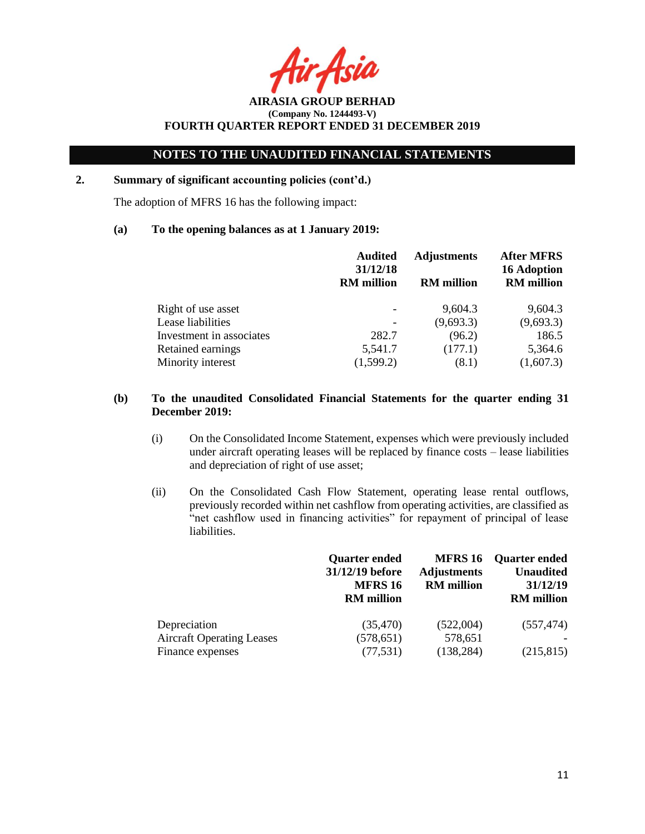Acil

**AIRASIA GROUP BERHAD (Company No. 1244493-V) FOURTH QUARTER REPORT ENDED 31 DECEMBER 2019**

# **2. Summary of significant accounting policies (cont'd.)**

The adoption of MFRS 16 has the following impact:

### **(a) To the opening balances as at 1 January 2019:**

|                          | <b>Audited</b><br>31/12/18<br><b>RM</b> million | <b>Adjustments</b><br><b>RM</b> million | <b>After MFRS</b><br><b>16 Adoption</b><br><b>RM</b> million |
|--------------------------|-------------------------------------------------|-----------------------------------------|--------------------------------------------------------------|
| Right of use asset       |                                                 | 9,604.3                                 | 9,604.3                                                      |
| Lease liabilities        |                                                 | (9,693.3)                               | (9,693.3)                                                    |
| Investment in associates | 282.7                                           | (96.2)                                  | 186.5                                                        |
| Retained earnings        | 5,541.7                                         | (177.1)                                 | 5,364.6                                                      |
| Minority interest        | (1,599.2)                                       | (8.1)                                   | (1,607.3)                                                    |

### **(b) To the unaudited Consolidated Financial Statements for the quarter ending 31 December 2019:**

- (i) On the Consolidated Income Statement, expenses which were previously included under aircraft operating leases will be replaced by finance costs – lease liabilities and depreciation of right of use asset;
- (ii) On the Consolidated Cash Flow Statement, operating lease rental outflows, previously recorded within net cashflow from operating activities, are classified as "net cashflow used in financing activities" for repayment of principal of lease liabilities.

|                                                                      | <b>Quarter ended</b><br>31/12/19 before<br><b>MFRS 16</b><br><b>RM</b> million | <b>MFRS 16</b><br><b>Adjustments</b><br><b>RM</b> million | <b>Quarter ended</b><br><b>Unaudited</b><br>31/12/19<br><b>RM</b> million |
|----------------------------------------------------------------------|--------------------------------------------------------------------------------|-----------------------------------------------------------|---------------------------------------------------------------------------|
| Depreciation<br><b>Aircraft Operating Leases</b><br>Finance expenses | (35, 470)<br>(578, 651)<br>(77, 531)                                           | (522,004)<br>578,651<br>(138, 284)                        | (557, 474)<br>(215, 815)                                                  |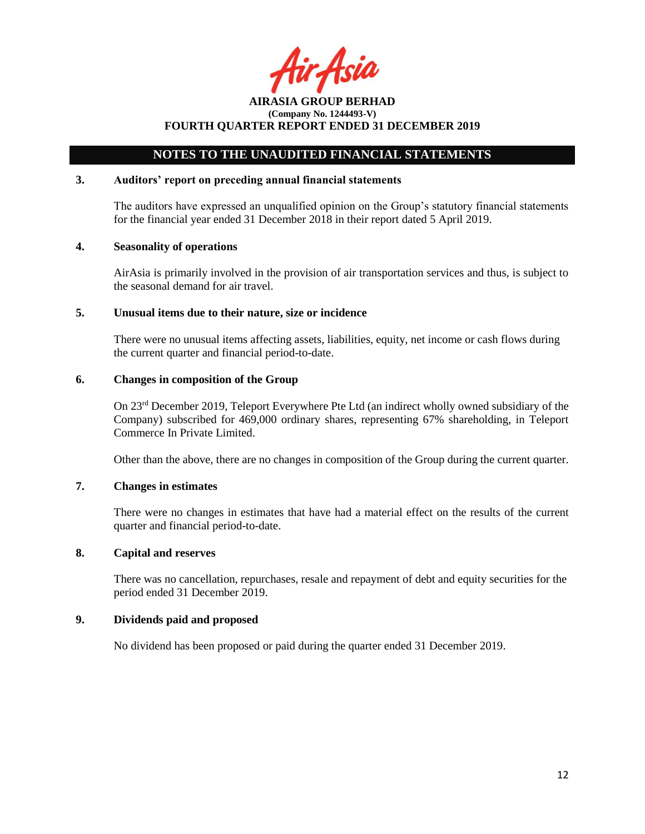Asil

# **NOTES TO THE UNAUDITED FINANCIAL STATEMENTS**

### **3. Auditors' report on preceding annual financial statements**

The auditors have expressed an unqualified opinion on the Group's statutory financial statements for the financial year ended 31 December 2018 in their report dated 5 April 2019.

### **4. Seasonality of operations**

AirAsia is primarily involved in the provision of air transportation services and thus, is subject to the seasonal demand for air travel.

### **5. Unusual items due to their nature, size or incidence**

There were no unusual items affecting assets, liabilities, equity, net income or cash flows during the current quarter and financial period-to-date.

### **6. Changes in composition of the Group**

On 23rd December 2019, Teleport Everywhere Pte Ltd (an indirect wholly owned subsidiary of the Company) subscribed for 469,000 ordinary shares, representing 67% shareholding, in Teleport Commerce In Private Limited.

Other than the above, there are no changes in composition of the Group during the current quarter.

### **7. Changes in estimates**

There were no changes in estimates that have had a material effect on the results of the current quarter and financial period-to-date.

# **8. Capital and reserves**

There was no cancellation, repurchases, resale and repayment of debt and equity securities for the period ended 31 December 2019.

# **9. Dividends paid and proposed**

No dividend has been proposed or paid during the quarter ended 31 December 2019.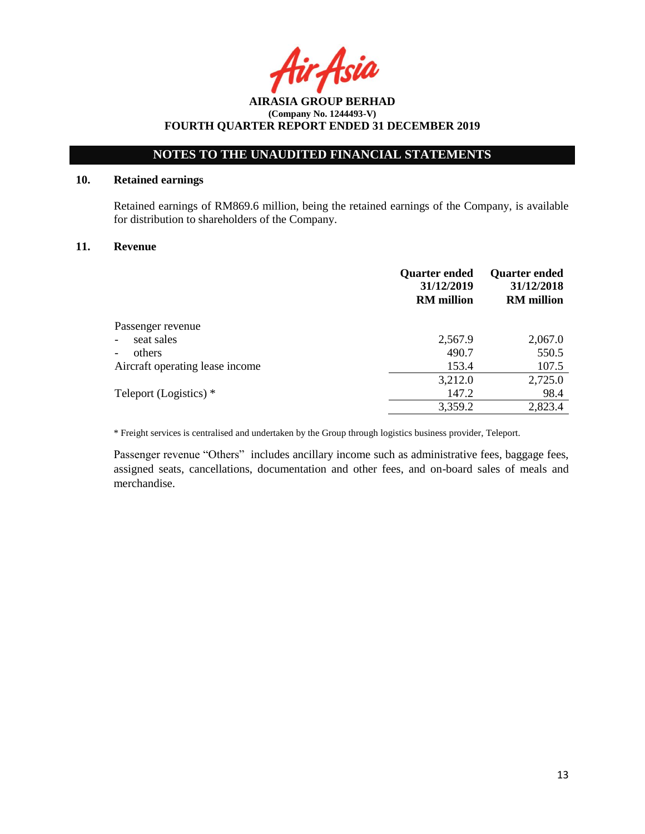Asia

# **NOTES TO THE UNAUDITED FINANCIAL STATEMENTS**

# **10. Retained earnings**

Retained earnings of RM869.6 million, being the retained earnings of the Company, is available for distribution to shareholders of the Company.

### **11. Revenue**

|                                    | <b>Quarter ended</b><br>31/12/2019<br><b>RM</b> million | <b>Quarter ended</b><br>31/12/2018<br><b>RM</b> million |
|------------------------------------|---------------------------------------------------------|---------------------------------------------------------|
| Passenger revenue                  |                                                         |                                                         |
| seat sales                         | 2,567.9                                                 | 2,067.0                                                 |
| others<br>$\overline{\phantom{a}}$ | 490.7                                                   | 550.5                                                   |
| Aircraft operating lease income    | 153.4                                                   | 107.5                                                   |
|                                    | 3,212.0                                                 | 2,725.0                                                 |
| Teleport (Logistics) *             | 147.2                                                   | 98.4                                                    |
|                                    | 3,359.2                                                 | 2,823.4                                                 |

\* Freight services is centralised and undertaken by the Group through logistics business provider, Teleport.

Passenger revenue "Others" includes ancillary income such as administrative fees, baggage fees, assigned seats, cancellations, documentation and other fees, and on-board sales of meals and merchandise.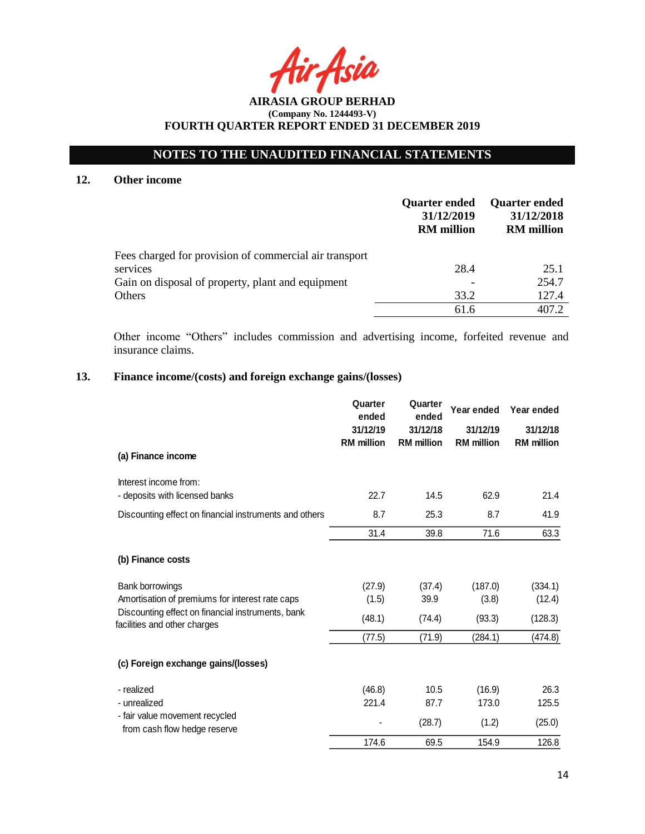# **NOTES TO THE UNAUDITED FINANCIAL STATEMENTS**

### **12. Other income**

|                                                        | <b>Quarter ended</b><br>31/12/2019<br><b>RM</b> million | <b>Quarter ended</b><br>31/12/2018<br><b>RM</b> million |
|--------------------------------------------------------|---------------------------------------------------------|---------------------------------------------------------|
| Fees charged for provision of commercial air transport |                                                         |                                                         |
| services                                               | 28.4                                                    | 25.1                                                    |
| Gain on disposal of property, plant and equipment      |                                                         | 254.7                                                   |
| Others                                                 | 33.2                                                    | 127.4                                                   |
|                                                        | 61.6                                                    | 407.2                                                   |

Other income "Others" includes commission and advertising income, forfeited revenue and insurance claims.

# **13. Finance income/(costs) and foreign exchange gains/(losses)**

|                                                                                   | Quarter<br>ended              | Quarter<br>ended              | Year ended                    | Year ended                    |
|-----------------------------------------------------------------------------------|-------------------------------|-------------------------------|-------------------------------|-------------------------------|
|                                                                                   | 31/12/19<br><b>RM</b> million | 31/12/18<br><b>RM</b> million | 31/12/19<br><b>RM</b> million | 31/12/18<br><b>RM</b> million |
| (a) Finance income                                                                |                               |                               |                               |                               |
| Interest income from:                                                             | 22.7                          | 14.5                          | 62.9                          | 21.4                          |
| - deposits with licensed banks                                                    |                               |                               |                               |                               |
| Discounting effect on financial instruments and others                            | 8.7                           | 25.3                          | 8.7                           | 41.9                          |
|                                                                                   | 31.4                          | 39.8                          | 71.6                          | 63.3                          |
| (b) Finance costs                                                                 |                               |                               |                               |                               |
| Bank borrowings                                                                   | (27.9)                        | (37.4)                        | (187.0)                       | (334.1)                       |
| Amortisation of premiums for interest rate caps                                   | (1.5)                         | 39.9                          | (3.8)                         | (12.4)                        |
| Discounting effect on financial instruments, bank<br>facilities and other charges | (48.1)                        | (74.4)                        | (93.3)                        | (128.3)                       |
|                                                                                   | (77.5)                        | (71.9)                        | (284.1)                       | (474.8)                       |
| (c) Foreign exchange gains/(losses)                                               |                               |                               |                               |                               |
| - realized                                                                        | (46.8)                        | 10.5                          | (16.9)                        | 26.3                          |
| - unrealized                                                                      | 221.4                         | 87.7                          | 173.0                         | 125.5                         |
| - fair value movement recycled<br>from cash flow hedge reserve                    |                               | (28.7)                        | (1.2)                         | (25.0)                        |
|                                                                                   | 174.6                         | 69.5                          | 154.9                         | 126.8                         |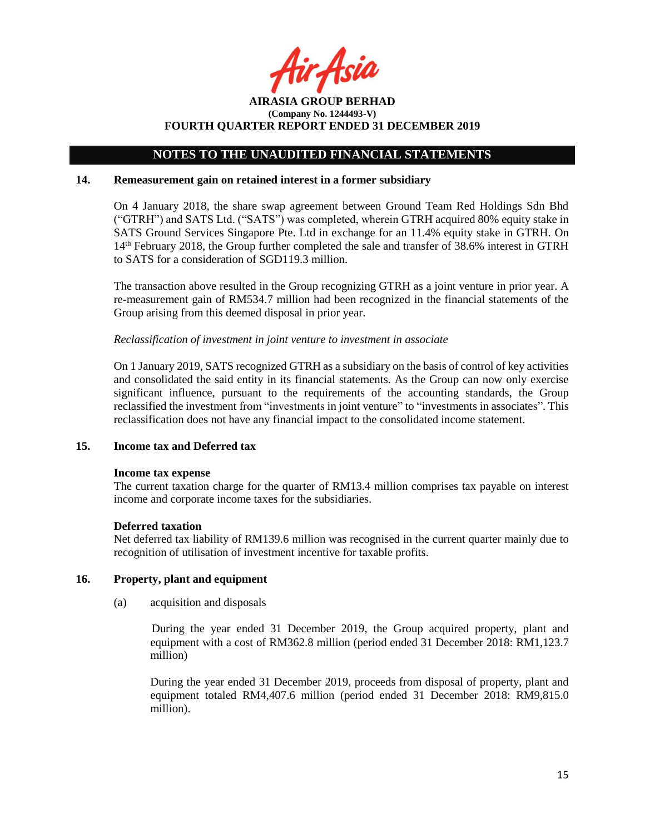Asil

**AIRASIA GROUP BERHAD (Company No. 1244493-V) FOURTH QUARTER REPORT ENDED 31 DECEMBER 2019**

### **14. Remeasurement gain on retained interest in a former subsidiary**

On 4 January 2018, the share swap agreement between Ground Team Red Holdings Sdn Bhd ("GTRH") and SATS Ltd. ("SATS") was completed, wherein GTRH acquired 80% equity stake in SATS Ground Services Singapore Pte. Ltd in exchange for an 11.4% equity stake in GTRH. On 14th February 2018, the Group further completed the sale and transfer of 38.6% interest in GTRH to SATS for a consideration of SGD119.3 million.

The transaction above resulted in the Group recognizing GTRH as a joint venture in prior year. A re-measurement gain of RM534.7 million had been recognized in the financial statements of the Group arising from this deemed disposal in prior year.

### *Reclassification of investment in joint venture to investment in associate*

On 1 January 2019, SATS recognized GTRH as a subsidiary on the basis of control of key activities and consolidated the said entity in its financial statements. As the Group can now only exercise significant influence, pursuant to the requirements of the accounting standards, the Group reclassified the investment from "investments in joint venture" to "investments in associates". This reclassification does not have any financial impact to the consolidated income statement.

### **15. Income tax and Deferred tax**

### **Income tax expense**

The current taxation charge for the quarter of RM13.4 million comprises tax payable on interest income and corporate income taxes for the subsidiaries.

### **Deferred taxation**

Net deferred tax liability of RM139.6 million was recognised in the current quarter mainly due to recognition of utilisation of investment incentive for taxable profits.

# **16. Property, plant and equipment**

(a) acquisition and disposals

During the year ended 31 December 2019, the Group acquired property, plant and equipment with a cost of RM362.8 million (period ended 31 December 2018: RM1,123.7 million)

During the year ended 31 December 2019, proceeds from disposal of property, plant and equipment totaled RM4,407.6 million (period ended 31 December 2018: RM9,815.0 million).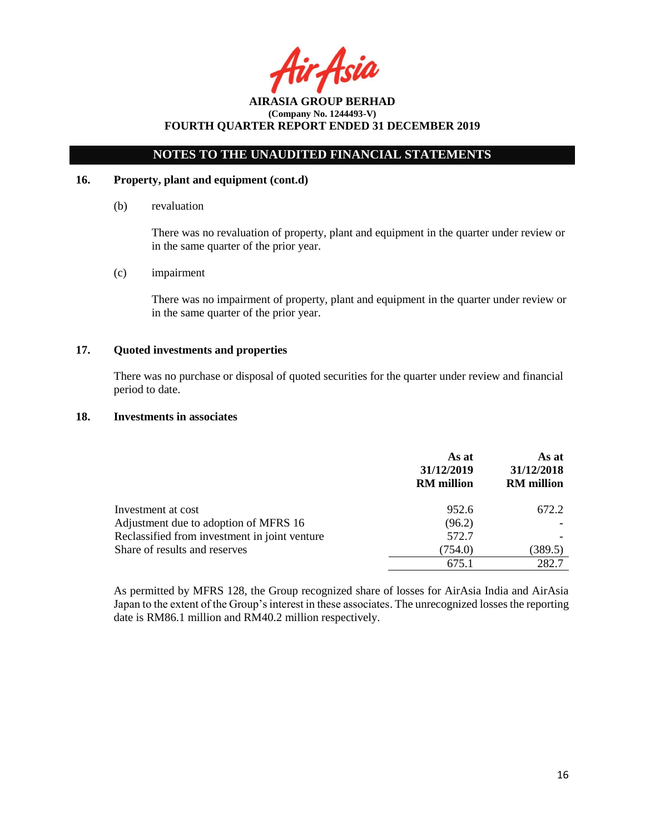Asia

# **NOTES TO THE UNAUDITED FINANCIAL STATEMENTS**

### **16. Property, plant and equipment (cont.d)**

(b) revaluation

There was no revaluation of property, plant and equipment in the quarter under review or in the same quarter of the prior year.

(c) impairment

There was no impairment of property, plant and equipment in the quarter under review or in the same quarter of the prior year.

# **17. Quoted investments and properties**

There was no purchase or disposal of quoted securities for the quarter under review and financial period to date.

### **18. Investments in associates**

|                                               | As at<br>31/12/2019<br><b>RM</b> million | As at<br>31/12/2018<br><b>RM</b> million |
|-----------------------------------------------|------------------------------------------|------------------------------------------|
| Investment at cost                            | 952.6                                    | 672.2                                    |
| Adjustment due to adoption of MFRS 16         | (96.2)                                   |                                          |
| Reclassified from investment in joint venture | 572.7                                    |                                          |
| Share of results and reserves                 | (754.0)                                  | (389.5)                                  |
|                                               | 675.1                                    | 282.7                                    |

As permitted by MFRS 128, the Group recognized share of losses for AirAsia India and AirAsia Japan to the extent of the Group's interest in these associates. The unrecognized losses the reporting date is RM86.1 million and RM40.2 million respectively.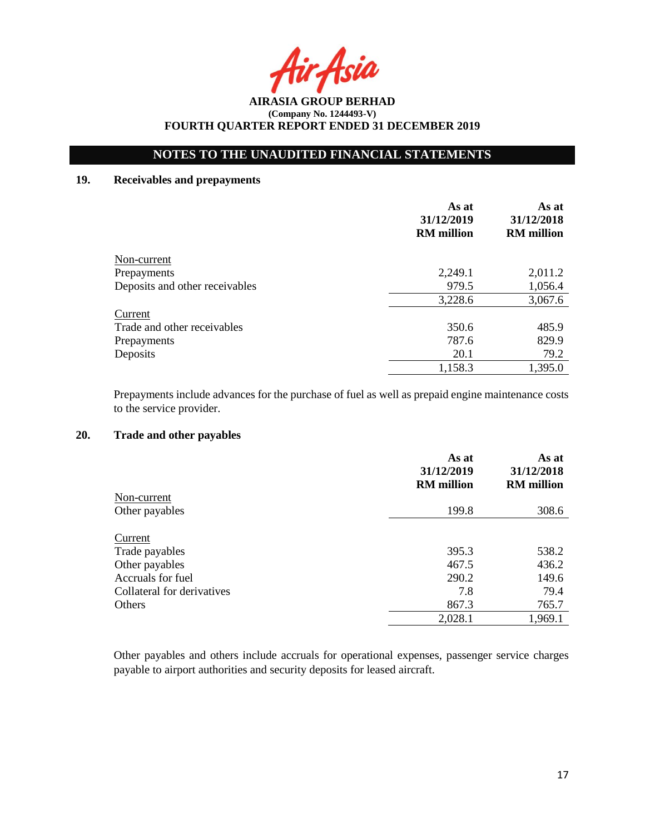Asia

# **NOTES TO THE UNAUDITED FINANCIAL STATEMENTS**

# **19. Receivables and prepayments**

|                                | As at<br>31/12/2019<br><b>RM</b> million | As at<br>31/12/2018<br><b>RM</b> million |
|--------------------------------|------------------------------------------|------------------------------------------|
| Non-current                    |                                          |                                          |
| Prepayments                    | 2,249.1                                  | 2,011.2                                  |
| Deposits and other receivables | 979.5                                    | 1,056.4                                  |
|                                | 3,228.6                                  | 3,067.6                                  |
| Current                        |                                          |                                          |
| Trade and other receivables    | 350.6                                    | 485.9                                    |
| Prepayments                    | 787.6                                    | 829.9                                    |
| Deposits                       | 20.1                                     | 79.2                                     |
|                                | 1,158.3                                  | 1,395.0                                  |

Prepayments include advances for the purchase of fuel as well as prepaid engine maintenance costs to the service provider.

# **20. Trade and other payables**

|                            | As at<br>31/12/2019<br><b>RM</b> million | As at<br>31/12/2018<br><b>RM</b> million |
|----------------------------|------------------------------------------|------------------------------------------|
| Non-current                |                                          |                                          |
| Other payables             | 199.8                                    | 308.6                                    |
| Current                    |                                          |                                          |
| Trade payables             | 395.3                                    | 538.2                                    |
| Other payables             | 467.5                                    | 436.2                                    |
| Accruals for fuel          | 290.2                                    | 149.6                                    |
| Collateral for derivatives | 7.8                                      | 79.4                                     |
| Others                     | 867.3                                    | 765.7                                    |
|                            | 2,028.1                                  | 1,969.1                                  |

Other payables and others include accruals for operational expenses, passenger service charges payable to airport authorities and security deposits for leased aircraft.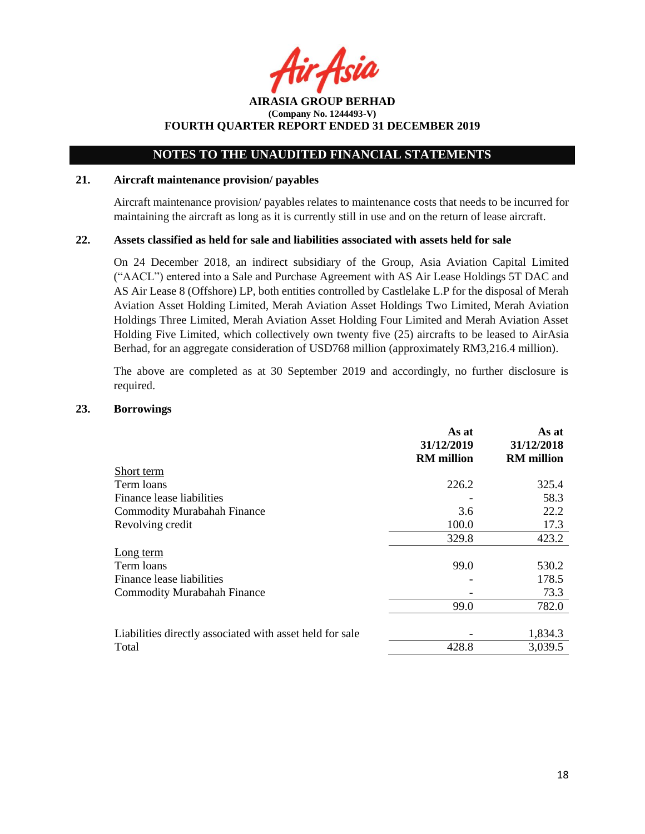Asia

**AIRASIA GROUP BERHAD (Company No. 1244493-V) FOURTH QUARTER REPORT ENDED 31 DECEMBER 2019**

### **21. Aircraft maintenance provision/ payables**

Aircraft maintenance provision/ payables relates to maintenance costs that needs to be incurred for maintaining the aircraft as long as it is currently still in use and on the return of lease aircraft.

### **22. Assets classified as held for sale and liabilities associated with assets held for sale**

On 24 December 2018, an indirect subsidiary of the Group, Asia Aviation Capital Limited ("AACL") entered into a Sale and Purchase Agreement with AS Air Lease Holdings 5T DAC and AS Air Lease 8 (Offshore) LP, both entities controlled by Castlelake L.P for the disposal of Merah Aviation Asset Holding Limited, Merah Aviation Asset Holdings Two Limited, Merah Aviation Holdings Three Limited, Merah Aviation Asset Holding Four Limited and Merah Aviation Asset Holding Five Limited, which collectively own twenty five (25) aircrafts to be leased to AirAsia Berhad, for an aggregate consideration of USD768 million (approximately RM3,216.4 million).

The above are completed as at 30 September 2019 and accordingly, no further disclosure is required.

### **23. Borrowings**

|                                                          | As at<br>31/12/2019<br><b>RM</b> million | As at<br>31/12/2018<br><b>RM</b> million |
|----------------------------------------------------------|------------------------------------------|------------------------------------------|
| Short term                                               |                                          |                                          |
| Term loans                                               | 226.2                                    | 325.4                                    |
| Finance lease liabilities                                |                                          | 58.3                                     |
| <b>Commodity Murabahah Finance</b>                       | 3.6                                      | 22.2                                     |
| Revolving credit                                         | 100.0                                    | 17.3                                     |
|                                                          | 329.8                                    | 423.2                                    |
| Long term                                                |                                          |                                          |
| Term loans                                               | 99.0                                     | 530.2                                    |
| Finance lease liabilities                                |                                          | 178.5                                    |
| <b>Commodity Murabahah Finance</b>                       |                                          | 73.3                                     |
|                                                          | 99.0                                     | 782.0                                    |
|                                                          |                                          |                                          |
| Liabilities directly associated with asset held for sale |                                          | 1,834.3                                  |
| Total                                                    | 428.8                                    | 3,039.5                                  |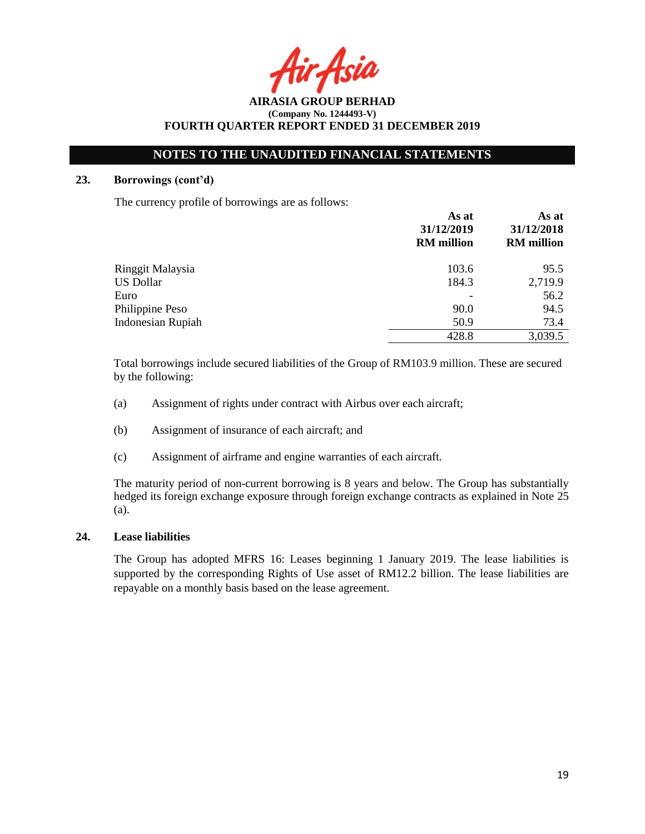$A$ cid

**AIRASIA GROUP BERHAD (Company No. 1244493-V) FOURTH QUARTER REPORT ENDED 31 DECEMBER 2019**

### **23. Borrowings (cont'd)**

The currency profile of borrowings are as follows:

|                          | As at<br>31/12/2019<br><b>RM</b> million | As at<br>31/12/2018<br><b>RM</b> million |
|--------------------------|------------------------------------------|------------------------------------------|
| Ringgit Malaysia         | 103.6                                    | 95.5                                     |
| <b>US Dollar</b>         | 184.3                                    | 2,719.9                                  |
| Euro                     |                                          | 56.2                                     |
| Philippine Peso          | 90.0                                     | 94.5                                     |
| <b>Indonesian Rupiah</b> | 50.9                                     | 73.4                                     |
|                          | 428.8                                    | 3,039.5                                  |

Total borrowings include secured liabilities of the Group of RM103.9 million. These are secured by the following:

- (a) Assignment of rights under contract with Airbus over each aircraft;
- (b) Assignment of insurance of each aircraft; and
- (c) Assignment of airframe and engine warranties of each aircraft.

The maturity period of non-current borrowing is 8 years and below. The Group has substantially hedged its foreign exchange exposure through foreign exchange contracts as explained in Note 25 (a).

# **24. Lease liabilities**

The Group has adopted MFRS 16: Leases beginning 1 January 2019. The lease liabilities is supported by the corresponding Rights of Use asset of RM12.2 billion. The lease liabilities are repayable on a monthly basis based on the lease agreement.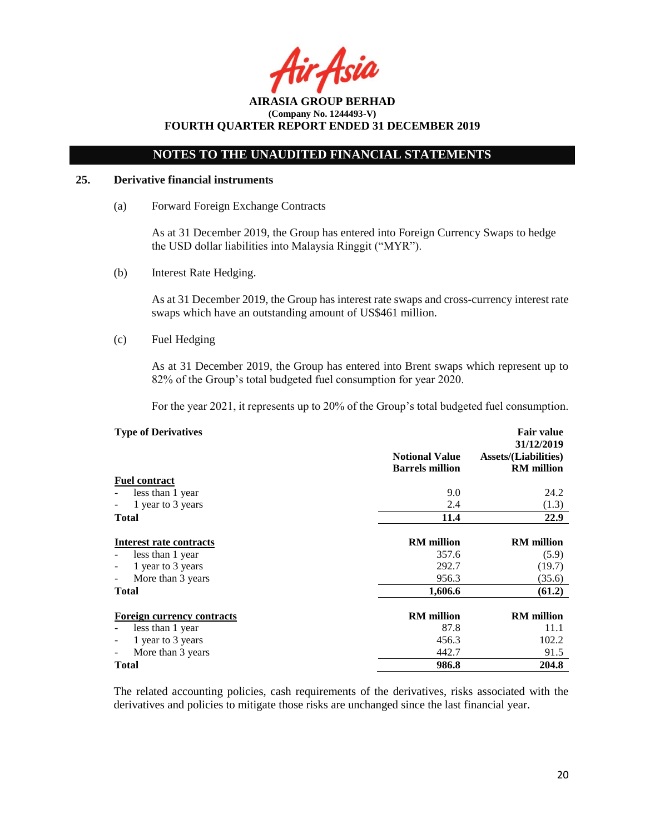Asia

# **NOTES TO THE UNAUDITED FINANCIAL STATEMENTS**

# **25. Derivative financial instruments**

(a) Forward Foreign Exchange Contracts

As at 31 December 2019, the Group has entered into Foreign Currency Swaps to hedge the USD dollar liabilities into Malaysia Ringgit ("MYR").

(b) Interest Rate Hedging.

As at 31 December 2019, the Group has interest rate swaps and cross-currency interest rate swaps which have an outstanding amount of US\$461 million.

(c) Fuel Hedging

As at 31 December 2019, the Group has entered into Brent swaps which represent up to 82% of the Group's total budgeted fuel consumption for year 2020.

For the year 2021, it represents up to 20% of the Group's total budgeted fuel consumption.

| <b>Type of Derivatives</b>                    |                                                 | <b>Fair value</b><br>31/12/2019                  |
|-----------------------------------------------|-------------------------------------------------|--------------------------------------------------|
|                                               | <b>Notional Value</b><br><b>Barrels million</b> | <b>Assets/(Liabilities)</b><br><b>RM</b> million |
| <b>Fuel contract</b>                          |                                                 |                                                  |
| less than 1 year                              | 9.0                                             | 24.2                                             |
| 1 year to 3 years<br>$\overline{\phantom{a}}$ | 2.4                                             | (1.3)                                            |
| Total                                         | 11.4                                            | 22.9                                             |
| Interest rate contracts                       | <b>RM</b> million                               | <b>RM</b> million                                |
| less than 1 year<br>$\overline{\phantom{a}}$  | 357.6                                           | (5.9)                                            |
| 1 year to 3 years<br>$\overline{\phantom{a}}$ | 292.7                                           | (19.7)                                           |
| More than 3 years<br>$\overline{\phantom{a}}$ | 956.3                                           | (35.6)                                           |
| Total                                         | 1,606.6                                         | (61.2)                                           |
| <b>Foreign currency contracts</b>             | <b>RM</b> million                               | <b>RM</b> million                                |
| less than 1 year                              | 87.8                                            | 11.1                                             |
| 1 year to 3 years<br>$\overline{\phantom{a}}$ | 456.3                                           | 102.2                                            |
| More than 3 years<br>$\overline{\phantom{a}}$ | 442.7                                           | 91.5                                             |
| Total                                         | 986.8                                           | 204.8                                            |

The related accounting policies, cash requirements of the derivatives, risks associated with the derivatives and policies to mitigate those risks are unchanged since the last financial year.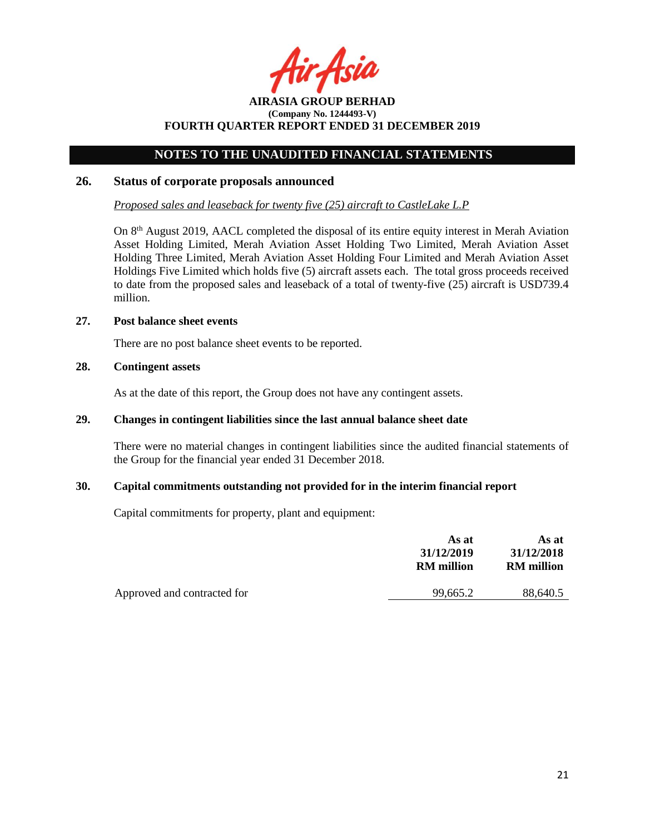Asia

# **NOTES TO THE UNAUDITED FINANCIAL STATEMENTS**

### **26. Status of corporate proposals announced**

*Proposed sales and leaseback for twenty five (25) aircraft to CastleLake L.P*

On 8<sup>th</sup> August 2019, AACL completed the disposal of its entire equity interest in Merah Aviation Asset Holding Limited, Merah Aviation Asset Holding Two Limited, Merah Aviation Asset Holding Three Limited, Merah Aviation Asset Holding Four Limited and Merah Aviation Asset Holdings Five Limited which holds five (5) aircraft assets each. The total gross proceeds received to date from the proposed sales and leaseback of a total of twenty-five (25) aircraft is USD739.4 million.

### **27. Post balance sheet events**

There are no post balance sheet events to be reported.

# **28. Contingent assets**

As at the date of this report, the Group does not have any contingent assets.

# **29. Changes in contingent liabilities since the last annual balance sheet date**

There were no material changes in contingent liabilities since the audited financial statements of the Group for the financial year ended 31 December 2018.

### **30. Capital commitments outstanding not provided for in the interim financial report**

Capital commitments for property, plant and equipment:

|                             | As at<br>31/12/2019<br><b>RM</b> million | As at<br>31/12/2018<br><b>RM</b> million |
|-----------------------------|------------------------------------------|------------------------------------------|
| Approved and contracted for | 99,665.2                                 | 88,640.5                                 |
|                             |                                          |                                          |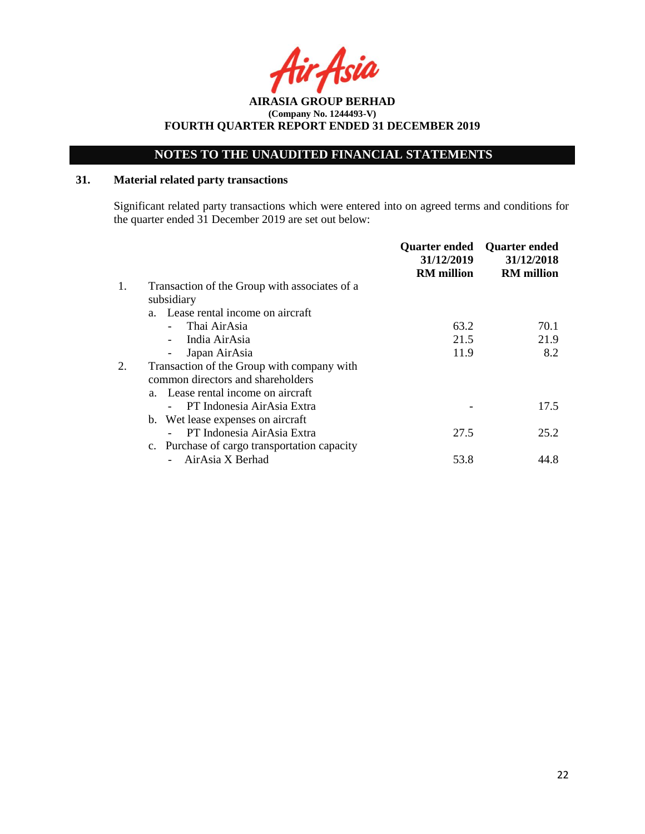**AIRASIA GROUP BERHAD (Company No. 1244493-V) FOURTH QUARTER REPORT ENDED 31 DECEMBER 2019**

# **31. Material related party transactions**

Significant related party transactions which were entered into on agreed terms and conditions for the quarter ended 31 December 2019 are set out below:

|    |                                               | <b>Quarter ended</b><br>31/12/2019<br><b>RM</b> million | <b>Quarter ended</b><br>31/12/2018<br><b>RM</b> million |
|----|-----------------------------------------------|---------------------------------------------------------|---------------------------------------------------------|
| 1. | Transaction of the Group with associates of a |                                                         |                                                         |
|    | subsidiary                                    |                                                         |                                                         |
|    | a. Lease rental income on aircraft            |                                                         |                                                         |
|    | Thai AirAsia                                  | 63.2                                                    | 70.1                                                    |
|    | India AirAsia                                 | 21.5                                                    | 21.9                                                    |
|    | Japan AirAsia                                 | 11.9                                                    | 8.2                                                     |
| 2. | Transaction of the Group with company with    |                                                         |                                                         |
|    | common directors and shareholders             |                                                         |                                                         |
|    | a. Lease rental income on aircraft            |                                                         |                                                         |
|    | PT Indonesia AirAsia Extra                    |                                                         | 17.5                                                    |
|    | b. Wet lease expenses on aircraft             |                                                         |                                                         |
|    | PT Indonesia AirAsia Extra                    | 27.5                                                    | 25.2                                                    |
|    | c. Purchase of cargo transportation capacity  |                                                         |                                                         |
|    | AirAsia X Berhad                              | 53.8                                                    | 44.8                                                    |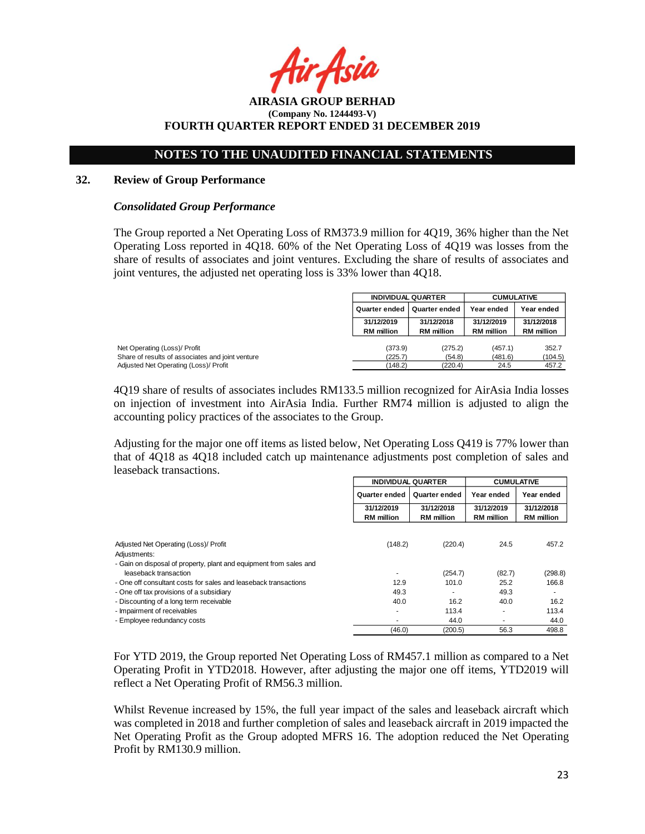**AIRASIA GROUP BERHAD (Company No. 1244493-V) FOURTH QUARTER REPORT ENDED 31 DECEMBER 2019**

### **32. Review of Group Performance**

#### *Consolidated Group Performance*

The Group reported a Net Operating Loss of RM373.9 million for 4Q19, 36% higher than the Net Operating Loss reported in 4Q18. 60% of the Net Operating Loss of 4Q19 was losses from the share of results of associates and joint ventures. Excluding the share of results of associates and joint ventures, the adjusted net operating loss is 33% lower than 4Q18.

|                                                  | <b>INDIVIDUAL QUARTER</b>             |                   | <b>CUMULATIVE</b> |                   |
|--------------------------------------------------|---------------------------------------|-------------------|-------------------|-------------------|
|                                                  | <b>Quarter ended</b><br>Quarter ended |                   | Year ended        | Year ended        |
|                                                  | 31/12/2019                            | 31/12/2018        | 31/12/2019        | 31/12/2018        |
|                                                  | <b>RM</b> million                     | <b>RM</b> million | <b>RM</b> million | <b>RM</b> million |
| Net Operating (Loss)/ Profit                     | (373.9)                               | (275.2)           | (457.1)           | 352.7             |
| Share of results of associates and joint venture | (225.7)                               | (54.8)            | (481.6)           | (104.5)           |
| Adjusted Net Operating (Loss)/ Profit            | (148.2)                               | (220.4)           | 24.5              | 457.2             |

4Q19 share of results of associates includes RM133.5 million recognized for AirAsia India losses on injection of investment into AirAsia India. Further RM74 million is adjusted to align the accounting policy practices of the associates to the Group.

Adjusting for the major one off items as listed below, Net Operating Loss Q419 is 77% lower than that of 4Q18 as 4Q18 included catch up maintenance adjustments post completion of sales and leaseback transactions.

|                                                                    |                                 | <b>INDIVIDUAL QUARTER</b>       |                                 | <b>CUMULATIVE</b>               |
|--------------------------------------------------------------------|---------------------------------|---------------------------------|---------------------------------|---------------------------------|
|                                                                    | Quarter ended<br>Quarter ended  |                                 | Year ended                      | Year ended                      |
|                                                                    | 31/12/2019<br><b>RM</b> million | 31/12/2018<br><b>RM</b> million | 31/12/2019<br><b>RM</b> million | 31/12/2018<br><b>RM</b> million |
|                                                                    |                                 |                                 |                                 |                                 |
| Adjusted Net Operating (Loss)/ Profit                              | (148.2)                         | (220.4)                         | 24.5                            | 457.2                           |
| Adjustments:                                                       |                                 |                                 |                                 |                                 |
| - Gain on disposal of property, plant and equipment from sales and |                                 |                                 |                                 |                                 |
| leaseback transaction                                              |                                 | (254.7)                         | (82.7)                          | (298.8)                         |
| - One off consultant costs for sales and leaseback transactions    | 12.9                            | 101.0                           | 25.2                            | 166.8                           |
| - One off tax provisions of a subsidiary                           | 49.3                            |                                 | 49.3                            |                                 |
| - Discounting of a long term receivable                            | 40.0                            | 16.2                            | 40.0                            | 16.2                            |
| - Impairment of receivables                                        |                                 | 113.4                           |                                 | 113.4                           |
| - Employee redundancy costs                                        |                                 | 44.0                            |                                 | 44.0                            |
|                                                                    | (46.0)                          | (200.5)                         | 56.3                            | 498.8                           |

For YTD 2019, the Group reported Net Operating Loss of RM457.1 million as compared to a Net Operating Profit in YTD2018. However, after adjusting the major one off items, YTD2019 will reflect a Net Operating Profit of RM56.3 million.

Whilst Revenue increased by 15%, the full year impact of the sales and leaseback aircraft which was completed in 2018 and further completion of sales and leaseback aircraft in 2019 impacted the Net Operating Profit as the Group adopted MFRS 16. The adoption reduced the Net Operating Profit by RM130.9 million.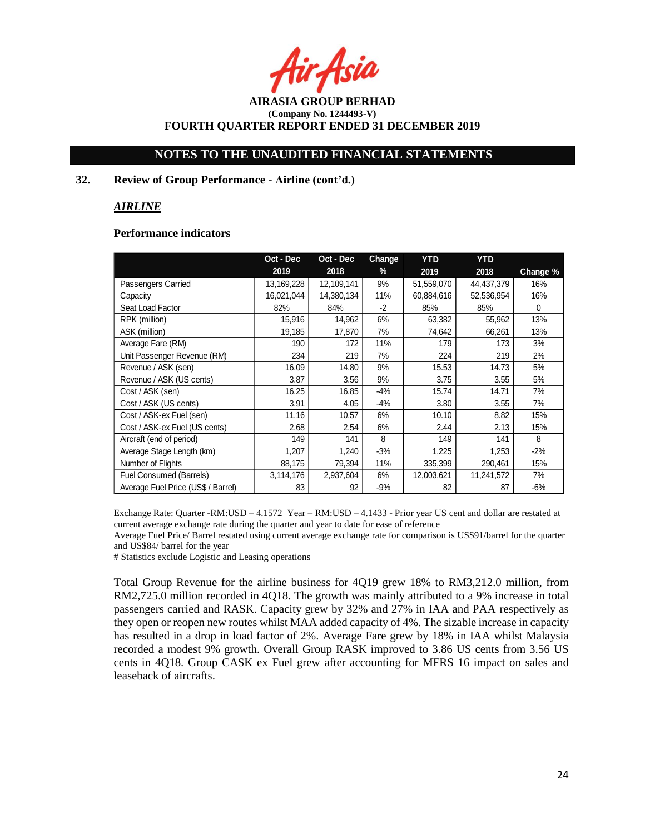Asia

**AIRASIA GROUP BERHAD (Company No. 1244493-V) FOURTH QUARTER REPORT ENDED 31 DECEMBER 2019**

### **32. Review of Group Performance - Airline (cont'd.)**

### *AIRLINE*

### **Performance indicators**

|                                    | Oct - Dec  | Oct - Dec  | Change | <b>YTD</b> | <b>YTD</b> |          |
|------------------------------------|------------|------------|--------|------------|------------|----------|
|                                    | 2019       | 2018       | $\%$   | 2019       | 2018       | Change % |
| Passengers Carried                 | 13,169,228 | 12,109,141 | 9%     | 51,559,070 | 44,437,379 | 16%      |
| Capacity                           | 16,021,044 | 14,380,134 | 11%    | 60,884,616 | 52,536,954 | 16%      |
| Seat Load Factor                   | 82%        | 84%        | $-2$   | 85%        | 85%        | 0        |
| RPK (million)                      | 15,916     | 14,962     | 6%     | 63,382     | 55,962     | 13%      |
| ASK (million)                      | 19,185     | 17,870     | 7%     | 74,642     | 66,261     | 13%      |
| Average Fare (RM)                  | 190        | 172        | 11%    | 179        | 173        | 3%       |
| Unit Passenger Revenue (RM)        | 234        | 219        | 7%     | 224        | 219        | 2%       |
| Revenue / ASK (sen)                | 16.09      | 14.80      | 9%     | 15.53      | 14.73      | 5%       |
| Revenue / ASK (US cents)           | 3.87       | 3.56       | 9%     | 3.75       | 3.55       | 5%       |
| Cost / ASK (sen)                   | 16.25      | 16.85      | $-4%$  | 15.74      | 14.71      | 7%       |
| Cost / ASK (US cents)              | 3.91       | 4.05       | $-4%$  | 3.80       | 3.55       | 7%       |
| Cost / ASK-ex Fuel (sen)           | 11.16      | 10.57      | 6%     | 10.10      | 8.82       | 15%      |
| Cost / ASK-ex Fuel (US cents)      | 2.68       | 2.54       | 6%     | 2.44       | 2.13       | 15%      |
| Aircraft (end of period)           | 149        | 141        | 8      | 149        | 141        | 8        |
| Average Stage Length (km)          | 1,207      | 1,240      | $-3%$  | 1,225      | 1,253      | $-2%$    |
| Number of Flights                  | 88,175     | 79,394     | 11%    | 335,399    | 290,461    | 15%      |
| Fuel Consumed (Barrels)            | 3,114,176  | 2,937,604  | 6%     | 12,003,621 | 11,241,572 | 7%       |
| Average Fuel Price (US\$ / Barrel) | 83         | 92         | $-9%$  | 82         | 87         | -6%      |

Exchange Rate: Quarter -RM:USD – 4.1572 Year – RM:USD – 4.1433 - Prior year US cent and dollar are restated at current average exchange rate during the quarter and year to date for ease of reference

Average Fuel Price/ Barrel restated using current average exchange rate for comparison is US\$91/barrel for the quarter and US\$84/ barrel for the year

# Statistics exclude Logistic and Leasing operations

Total Group Revenue for the airline business for 4Q19 grew 18% to RM3,212.0 million, from RM2,725.0 million recorded in 4Q18. The growth was mainly attributed to a 9% increase in total passengers carried and RASK. Capacity grew by 32% and 27% in IAA and PAA respectively as they open or reopen new routes whilst MAA added capacity of 4%. The sizable increase in capacity has resulted in a drop in load factor of 2%. Average Fare grew by 18% in IAA whilst Malaysia recorded a modest 9% growth. Overall Group RASK improved to 3.86 US cents from 3.56 US cents in 4Q18. Group CASK ex Fuel grew after accounting for MFRS 16 impact on sales and leaseback of aircrafts.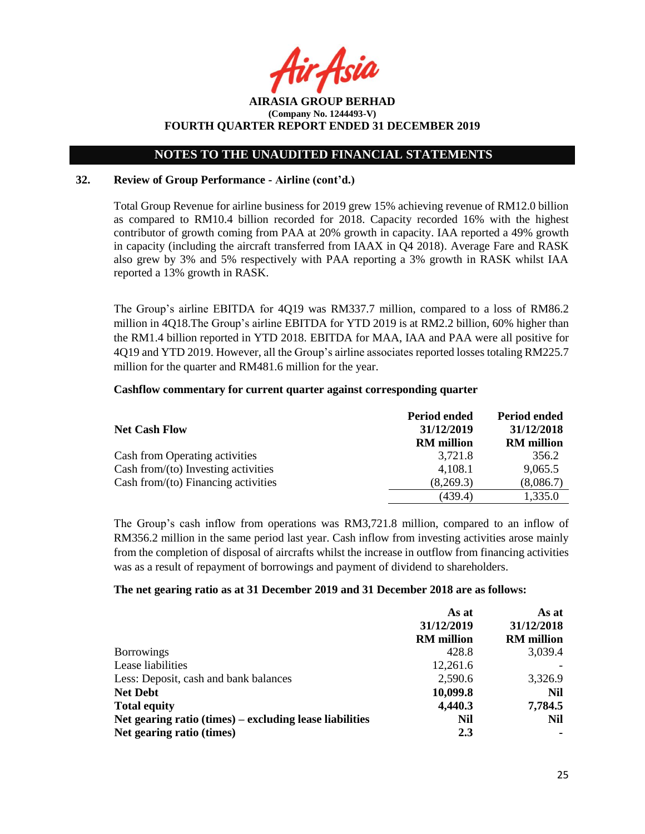Asil

# **NOTES TO THE UNAUDITED FINANCIAL STATEMENTS**

### **32. Review of Group Performance - Airline (cont'd.)**

Total Group Revenue for airline business for 2019 grew 15% achieving revenue of RM12.0 billion as compared to RM10.4 billion recorded for 2018. Capacity recorded 16% with the highest contributor of growth coming from PAA at 20% growth in capacity. IAA reported a 49% growth in capacity (including the aircraft transferred from IAAX in Q4 2018). Average Fare and RASK also grew by 3% and 5% respectively with PAA reporting a 3% growth in RASK whilst IAA reported a 13% growth in RASK.

The Group's airline EBITDA for 4Q19 was RM337.7 million, compared to a loss of RM86.2 million in 4Q18.The Group's airline EBITDA for YTD 2019 is at RM2.2 billion, 60% higher than the RM1.4 billion reported in YTD 2018. EBITDA for MAA, IAA and PAA were all positive for 4Q19 and YTD 2019. However, all the Group's airline associates reported losses totaling RM225.7 million for the quarter and RM481.6 million for the year.

### **Cashflow commentary for current quarter against corresponding quarter**

|                                        | Period ended      | Period ended      |
|----------------------------------------|-------------------|-------------------|
| <b>Net Cash Flow</b>                   | 31/12/2019        | 31/12/2018        |
|                                        | <b>RM</b> million | <b>RM</b> million |
| Cash from Operating activities         | 3,721.8           | 356.2             |
| Cash from/(to) Investing activities    | 4,108.1           | 9,065.5           |
| Cash from/ $(to)$ Financing activities | (8,269.3)         | (8,086.7)         |
|                                        | (439.4)           | 1,335.0           |

The Group's cash inflow from operations was RM3,721.8 million, compared to an inflow of RM356.2 million in the same period last year. Cash inflow from investing activities arose mainly from the completion of disposal of aircrafts whilst the increase in outflow from financing activities was as a result of repayment of borrowings and payment of dividend to shareholders.

### **The net gearing ratio as at 31 December 2019 and 31 December 2018 are as follows:**

|                                                         | As at             | As at             |
|---------------------------------------------------------|-------------------|-------------------|
|                                                         | 31/12/2019        | 31/12/2018        |
|                                                         | <b>RM</b> million | <b>RM</b> million |
| <b>Borrowings</b>                                       | 428.8             | 3,039.4           |
| Lease liabilities                                       | 12,261.6          |                   |
| Less: Deposit, cash and bank balances                   | 2,590.6           | 3,326.9           |
| <b>Net Debt</b>                                         | 10,099.8          | Nil               |
| <b>Total equity</b>                                     | 4,440.3           | 7,784.5           |
| Net gearing ratio (times) – excluding lease liabilities | Nil               | Nil               |
| Net gearing ratio (times)                               | 2.3               |                   |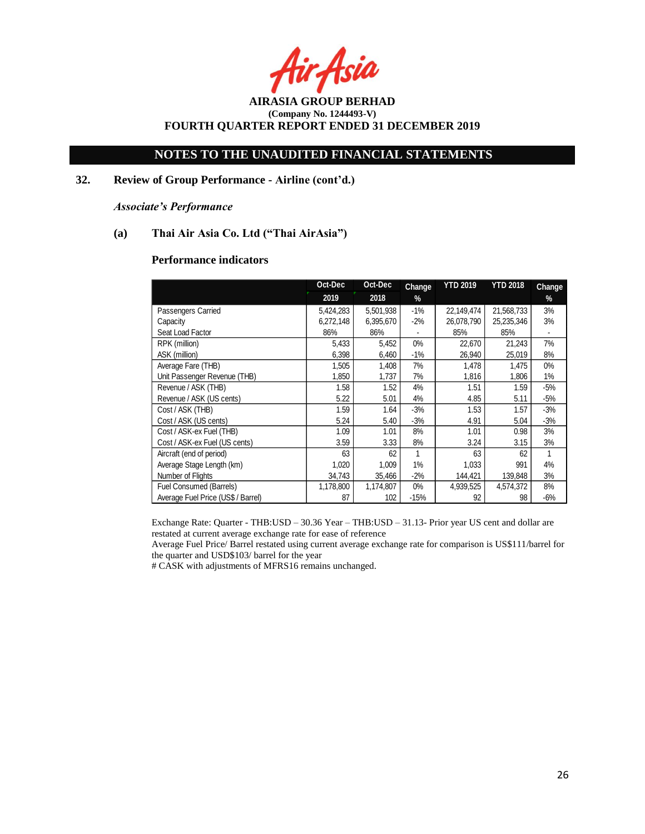Asia

**AIRASIA GROUP BERHAD (Company No. 1244493-V) FOURTH QUARTER REPORT ENDED 31 DECEMBER 2019**

# **32. Review of Group Performance - Airline (cont'd.)**

*Associate's Performance*

### **(a) Thai Air Asia Co. Ltd ("Thai AirAsia")**

### **Performance indicators**

|                                    | Oct-Dec   | Oct-Dec   | Change | <b>YTD 2019</b> | <b>YTD 2018</b> | Change |
|------------------------------------|-----------|-----------|--------|-----------------|-----------------|--------|
|                                    | 2019      | 2018      | %      |                 |                 | %      |
| Passengers Carried                 | 5,424,283 | 5,501,938 | $-1%$  | 22,149,474      | 21,568,733      | 3%     |
| Capacity                           | 6,272,148 | 6,395,670 | $-2%$  | 26,078,790      | 25,235,346      | 3%     |
| Seat Load Factor                   | 86%       | 86%       |        | 85%             | 85%             |        |
| RPK (million)                      | 5,433     | 5,452     | $0\%$  | 22,670          | 21,243          | 7%     |
| ASK (million)                      | 6,398     | 6,460     | $-1%$  | 26,940          | 25,019          | 8%     |
| Average Fare (THB)                 | 1,505     | 1,408     | 7%     | 1,478           | 1,475           | $0\%$  |
| Unit Passenger Revenue (THB)       | 1,850     | 1,737     | 7%     | 1,816           | 1,806           | 1%     |
| Revenue / ASK (THB)                | 1.58      | 1.52      | 4%     | 1.51            | 1.59            | $-5%$  |
| Revenue / ASK (US cents)           | 5.22      | 5.01      | 4%     | 4.85            | 5.11            | $-5%$  |
| Cost / ASK (THB)                   | 1.59      | 1.64      | $-3%$  | 1.53            | 1.57            | $-3%$  |
| Cost / ASK (US cents)              | 5.24      | 5.40      | $-3%$  | 4.91            | 5.04            | $-3%$  |
| Cost / ASK-ex Fuel (THB)           | 1.09      | 1.01      | 8%     | 1.01            | 0.98            | 3%     |
| Cost / ASK-ex Fuel (US cents)      | 3.59      | 3.33      | 8%     | 3.24            | 3.15            | 3%     |
| Aircraft (end of period)           | 63        | 62        | 1      | 63              | 62              |        |
| Average Stage Length (km)          | 1,020     | 1,009     | 1%     | 1,033           | 991             | 4%     |
| Number of Flights                  | 34,743    | 35,466    | $-2%$  | 144,421         | 139,848         | 3%     |
| Fuel Consumed (Barrels)            | 1,178,800 | 1,174,807 | $0\%$  | 4,939,525       | 4,574,372       | 8%     |
| Average Fuel Price (US\$ / Barrel) | 87        | 102       | $-15%$ | 92              | 98              | $-6%$  |

Exchange Rate: Quarter - THB:USD – 30.36 Year – THB:USD – 31.13- Prior year US cent and dollar are restated at current average exchange rate for ease of reference

Average Fuel Price/ Barrel restated using current average exchange rate for comparison is US\$111/barrel for the quarter and USD\$103/ barrel for the year

# CASK with adjustments of MFRS16 remains unchanged.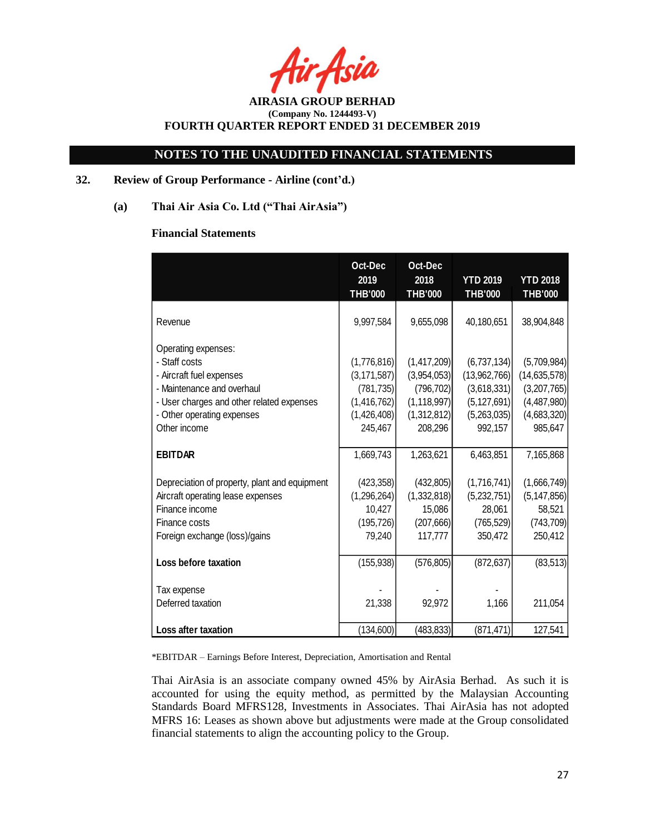Asia

# **NOTES TO THE UNAUDITED FINANCIAL STATEMENTS**

### **32. Review of Group Performance - Airline (cont'd.)**

**(a) Thai Air Asia Co. Ltd ("Thai AirAsia")**

### **Financial Statements**

|                                                                                                                                                                                           | Oct-Dec<br>2019<br><b>THB'000</b>                                                   | Oct-Dec<br>2018<br><b>THB'000</b>                                                   | <b>YTD 2019</b><br><b>THB'000</b>                                                     | <b>YTD 2018</b><br><b>THB'000</b>                                                     |
|-------------------------------------------------------------------------------------------------------------------------------------------------------------------------------------------|-------------------------------------------------------------------------------------|-------------------------------------------------------------------------------------|---------------------------------------------------------------------------------------|---------------------------------------------------------------------------------------|
| Revenue                                                                                                                                                                                   | 9,997,584                                                                           | 9,655,098                                                                           | 40,180,651                                                                            | 38,904,848                                                                            |
| Operating expenses:<br>- Staff costs<br>- Aircraft fuel expenses<br>- Maintenance and overhaul<br>- User charges and other related expenses<br>- Other operating expenses<br>Other income | (1,776,816)<br>(3, 171, 587)<br>(781, 735)<br>(1,416,762)<br>(1,426,408)<br>245,467 | (1,417,209)<br>(3,954,053)<br>(796, 702)<br>(1, 118, 997)<br>(1,312,812)<br>208,296 | (6,737,134)<br>(13,962,766)<br>(3,618,331)<br>(5, 127, 691)<br>(5,263,035)<br>992,157 | (5,709,984)<br>(14, 635, 578)<br>(3,207,765)<br>(4,487,980)<br>(4,683,320)<br>985,647 |
| <b>EBITDAR</b>                                                                                                                                                                            | 1,669,743                                                                           | 1,263,621                                                                           | 6,463,851                                                                             | 7,165,868                                                                             |
| Depreciation of property, plant and equipment<br>Aircraft operating lease expenses<br>Finance income<br>Finance costs<br>Foreign exchange (loss)/gains                                    | (423,358)<br>(1,296,264)<br>10,427<br>(195, 726)<br>79,240                          | (432,805)<br>(1,332,818)<br>15,086<br>(207, 666)<br>117,777                         | (1,716,741)<br>(5,232,751)<br>28,061<br>(765, 529)<br>350,472                         | (1,666,749)<br>(5, 147, 856)<br>58,521<br>(743, 709)<br>250,412                       |
| Loss before taxation                                                                                                                                                                      | (155, 938)                                                                          | (576, 805)                                                                          | (872, 637)                                                                            | (83, 513)                                                                             |
| Tax expense<br>Deferred taxation                                                                                                                                                          | 21,338                                                                              | 92,972                                                                              | 1,166                                                                                 | 211,054                                                                               |
| <b>Loss after taxation</b>                                                                                                                                                                | (134, 600)                                                                          | (483, 833)                                                                          | (871, 471)                                                                            | 127,541                                                                               |

\*EBITDAR – Earnings Before Interest, Depreciation, Amortisation and Rental

Thai AirAsia is an associate company owned 45% by AirAsia Berhad. As such it is accounted for using the equity method, as permitted by the Malaysian Accounting Standards Board MFRS128, Investments in Associates. Thai AirAsia has not adopted MFRS 16: Leases as shown above but adjustments were made at the Group consolidated financial statements to align the accounting policy to the Group.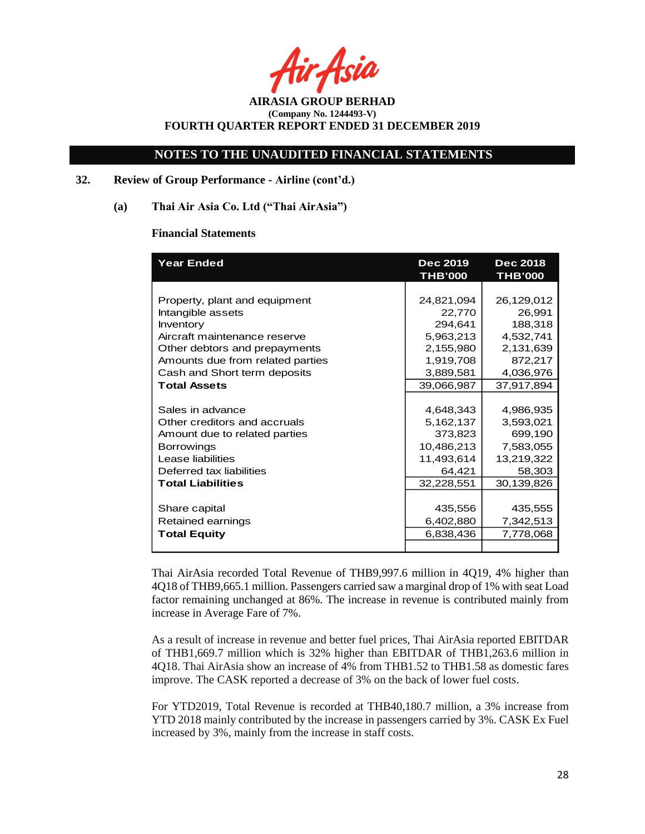Asia

# **NOTES TO THE UNAUDITED FINANCIAL STATEMENTS**

# **32. Review of Group Performance - Airline (cont'd.)**

### **(a) Thai Air Asia Co. Ltd ("Thai AirAsia")**

### **Financial Statements**

| <b>Year Ended</b>                | <b>Dec 2019</b><br><b>THB'000</b> | <b>Dec 2018</b><br><b>THB'000</b> |
|----------------------------------|-----------------------------------|-----------------------------------|
|                                  |                                   |                                   |
| Property, plant and equipment    | 24,821,094                        | 26,129,012                        |
| Intangible assets                | 22,770                            | 26,991                            |
| Inventory                        | 294,641                           | 188,318                           |
| Aircraft maintenance reserve     | 5,963,213                         | 4,532,741                         |
| Other debtors and prepayments    | 2,155,980                         | 2,131,639                         |
| Amounts due from related parties | 1,919,708                         | 872,217                           |
| Cash and Short term deposits     | 3,889,581                         | 4,036,976                         |
| <b>Total Assets</b>              | 39,066,987                        | 37,917,894                        |
|                                  |                                   |                                   |
| Sales in advance                 | 4,648,343                         | 4,986,935                         |
| Other creditors and accruals     | 5,162,137                         | 3,593,021                         |
| Amount due to related parties    | 373,823                           | 699,190                           |
| <b>Borrowings</b>                | 10,486,213                        | 7,583,055                         |
| Lease liabilities                | 11,493,614                        | 13,219,322                        |
| Deferred tax liabilities         | 64,421                            | 58,303                            |
| <b>Total Liabilities</b>         | 32,228,551                        | 30,139,826                        |
|                                  |                                   |                                   |
| Share capital                    | 435,556                           | 435,555                           |
| Retained earnings                | 6,402,880                         | 7,342,513                         |
| <b>Total Equity</b>              | 6,838,436                         | 7,778,068                         |
|                                  |                                   |                                   |

Thai AirAsia recorded Total Revenue of THB9,997.6 million in 4Q19, 4% higher than 4Q18 of THB9,665.1 million. Passengers carried saw a marginal drop of 1% with seat Load factor remaining unchanged at 86%. The increase in revenue is contributed mainly from increase in Average Fare of 7%.

As a result of increase in revenue and better fuel prices, Thai AirAsia reported EBITDAR of THB1,669.7 million which is 32% higher than EBITDAR of THB1,263.6 million in 4Q18. Thai AirAsia show an increase of 4% from THB1.52 to THB1.58 as domestic fares improve. The CASK reported a decrease of 3% on the back of lower fuel costs.

For YTD2019, Total Revenue is recorded at THB40,180.7 million, a 3% increase from YTD 2018 mainly contributed by the increase in passengers carried by 3%. CASK Ex Fuel increased by 3%, mainly from the increase in staff costs.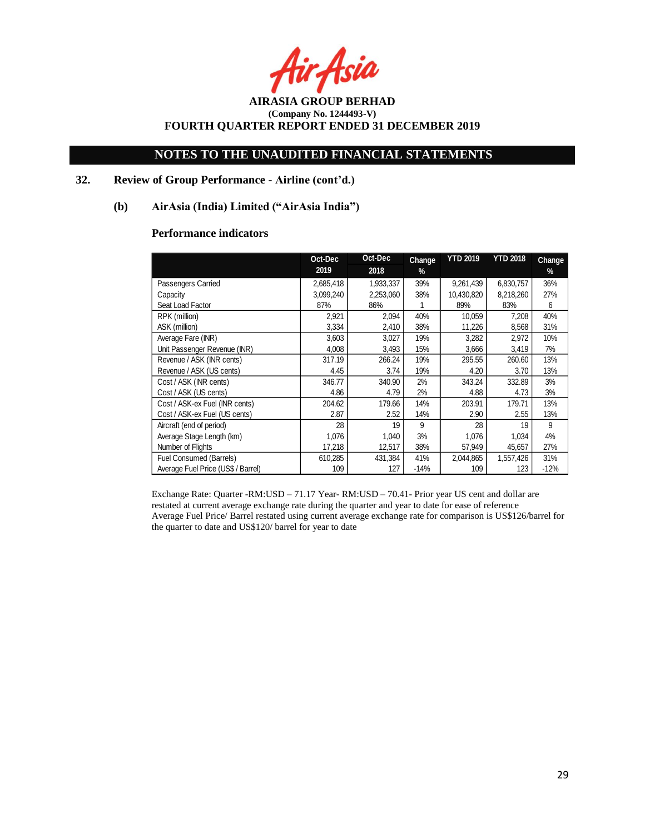r Asia

# **NOTES TO THE UNAUDITED FINANCIAL STATEMENTS**

# **32. Review of Group Performance - Airline (cont'd.)**

### **(b) AirAsia (India) Limited ("AirAsia India")**

# **Performance indicators**

|                                    | Oct-Dec   | Oct-Dec   | Change | <b>YTD 2019</b> | <b>YTD 2018</b> | Change |
|------------------------------------|-----------|-----------|--------|-----------------|-----------------|--------|
|                                    | 2019      | 2018      | $\%$   |                 |                 | $\%$   |
| Passengers Carried                 | 2,685,418 | 1,933,337 | 39%    | 9,261,439       | 6,830,757       | 36%    |
| Capacity                           | 3,099,240 | 2,253,060 | 38%    | 10,430,820      | 8,218,260       | 27%    |
| Seat Load Factor                   | 87%       | 86%       |        | 89%             | 83%             | 6      |
| RPK (million)                      | 2,921     | 2,094     | 40%    | 10,059          | 7,208           | 40%    |
| ASK (million)                      | 3,334     | 2,410     | 38%    | 11,226          | 8,568           | 31%    |
| Average Fare (INR)                 | 3,603     | 3,027     | 19%    | 3,282           | 2,972           | 10%    |
| Unit Passenger Revenue (INR)       | 4,008     | 3,493     | 15%    | 3,666           | 3,419           | 7%     |
| Revenue / ASK (INR cents)          | 317.19    | 266.24    | 19%    | 295.55          | 260.60          | 13%    |
| Revenue / ASK (US cents)           | 4.45      | 3.74      | 19%    | 4.20            | 3.70            | 13%    |
| Cost / ASK (INR cents)             | 346.77    | 340.90    | 2%     | 343.24          | 332.89          | 3%     |
| Cost / ASK (US cents)              | 4.86      | 4.79      | 2%     | 4.88            | 4.73            | 3%     |
| Cost / ASK-ex Fuel (INR cents)     | 204.62    | 179.66    | 14%    | 203.91          | 179.71          | 13%    |
| Cost / ASK-ex Fuel (US cents)      | 2.87      | 2.52      | 14%    | 2.90            | 2.55            | 13%    |
| Aircraft (end of period)           | 28        | 19        | 9      | 28              | 19              | 9      |
| Average Stage Length (km)          | 1,076     | 1,040     | 3%     | 1,076           | 1,034           | 4%     |
| Number of Flights                  | 17,218    | 12,517    | 38%    | 57,949          | 45,657          | 27%    |
| Fuel Consumed (Barrels)            | 610,285   | 431,384   | 41%    | 2,044,865       | 1,557,426       | 31%    |
| Average Fuel Price (US\$ / Barrel) | 109       | 127       | $-14%$ | 109             | 123             | $-12%$ |

Exchange Rate: Quarter -RM:USD – 71.17 Year- RM:USD – 70.41- Prior year US cent and dollar are restated at current average exchange rate during the quarter and year to date for ease of reference Average Fuel Price/ Barrel restated using current average exchange rate for comparison is US\$126/barrel for the quarter to date and US\$120/ barrel for year to date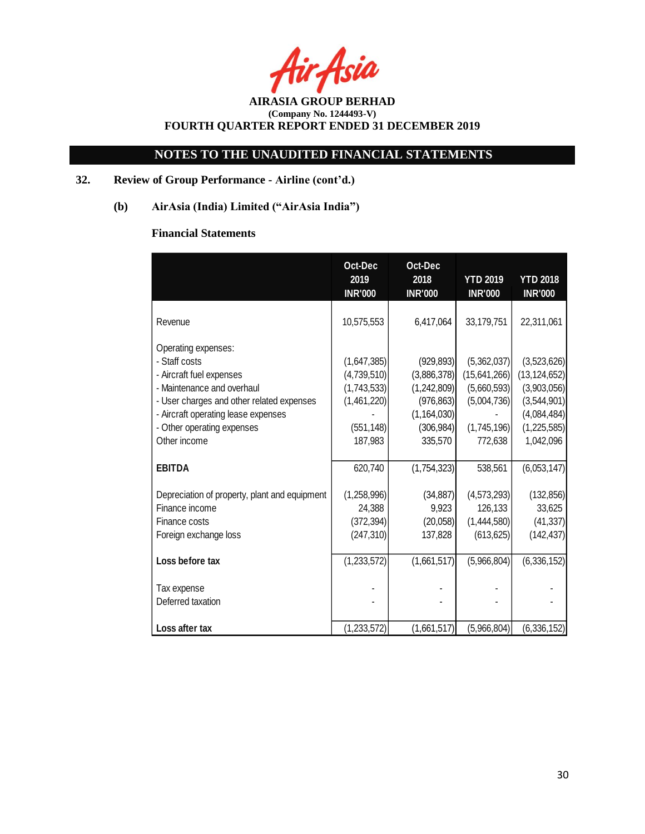r Asia

# **NOTES TO THE UNAUDITED FINANCIAL STATEMENTS**

# **32. Review of Group Performance - Airline (cont'd.)**

**(b) AirAsia (India) Limited ("AirAsia India")**

# **Financial Statements**

|                                                                                                                                                                                                                                  | Oct-Dec<br>2019<br><b>INR'000</b>                                                 | Oct-Dec<br>2018<br><b>INR'000</b>                                                                | <b>YTD 2019</b><br><b>INR'000</b>                                                   | <b>YTD 2018</b><br><b>INR'000</b>                                                                      |
|----------------------------------------------------------------------------------------------------------------------------------------------------------------------------------------------------------------------------------|-----------------------------------------------------------------------------------|--------------------------------------------------------------------------------------------------|-------------------------------------------------------------------------------------|--------------------------------------------------------------------------------------------------------|
| Revenue                                                                                                                                                                                                                          | 10,575,553                                                                        | 6,417,064                                                                                        | 33,179,751                                                                          | 22,311,061                                                                                             |
| Operating expenses:<br>- Staff costs<br>- Aircraft fuel expenses<br>- Maintenance and overhaul<br>- User charges and other related expenses<br>- Aircraft operating lease expenses<br>- Other operating expenses<br>Other income | (1,647,385)<br>(4,739,510)<br>(1,743,533)<br>(1,461,220)<br>(551, 148)<br>187,983 | (929, 893)<br>(3,886,378)<br>(1,242,809)<br>(976, 863)<br>(1, 164, 030)<br>(306, 984)<br>335,570 | (5,362,037)<br>(15,641,266)<br>(5,660,593)<br>(5,004,736)<br>(1,745,196)<br>772,638 | (3,523,626)<br>(13, 124, 652)<br>(3,903,056)<br>(3,544,901)<br>(4,084,484)<br>(1,225,585)<br>1,042,096 |
| <b>EBITDA</b>                                                                                                                                                                                                                    | 620,740                                                                           | (1,754,323)                                                                                      | 538,561                                                                             | (6,053,147)                                                                                            |
| Depreciation of property, plant and equipment<br>Finance income<br>Finance costs<br>Foreign exchange loss                                                                                                                        | (1,258,996)<br>24,388<br>(372, 394)<br>(247, 310)                                 | (34, 887)<br>9,923<br>(20,058)<br>137,828                                                        | (4,573,293)<br>126,133<br>(1,444,580)<br>(613, 625)                                 | (132, 856)<br>33,625<br>(41, 337)<br>(142, 437)                                                        |
| Loss before tax                                                                                                                                                                                                                  | (1,233,572)                                                                       | (1,661,517)                                                                                      | (5,966,804)                                                                         | (6,336,152)                                                                                            |
| Tax expense<br>Deferred taxation                                                                                                                                                                                                 |                                                                                   |                                                                                                  |                                                                                     |                                                                                                        |
| Loss after tax                                                                                                                                                                                                                   | (1,233,572)                                                                       | (1,661,517)                                                                                      | (5,966,804)                                                                         | (6,336,152)                                                                                            |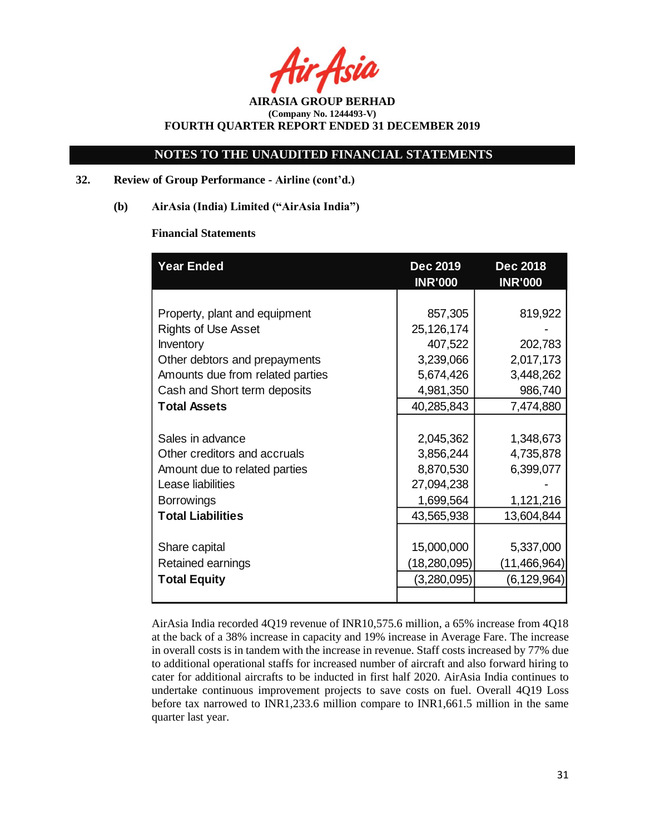Asia

**AIRASIA GROUP BERHAD (Company No. 1244493-V) FOURTH QUARTER REPORT ENDED 31 DECEMBER 2019**

### **32. Review of Group Performance - Airline (cont'd.)**

**(b) AirAsia (India) Limited ("AirAsia India")**

### **Financial Statements**

| <b>Year Ended</b>                | <b>Dec 2019</b><br><b>INR'000</b> | <b>Dec 2018</b><br><b>INR'000</b> |
|----------------------------------|-----------------------------------|-----------------------------------|
|                                  |                                   |                                   |
| Property, plant and equipment    | 857,305                           | 819,922                           |
| <b>Rights of Use Asset</b>       | 25,126,174                        |                                   |
| Inventory                        | 407,522                           | 202,783                           |
| Other debtors and prepayments    | 3,239,066                         | 2,017,173                         |
| Amounts due from related parties | 5,674,426                         | 3,448,262                         |
| Cash and Short term deposits     | 4,981,350                         | 986,740                           |
| <b>Total Assets</b>              | 40,285,843                        | 7,474,880                         |
|                                  |                                   |                                   |
| Sales in advance                 | 2,045,362                         | 1,348,673                         |
| Other creditors and accruals     | 3,856,244                         | 4,735,878                         |
| Amount due to related parties    | 8,870,530                         | 6,399,077                         |
| Lease liabilities                | 27,094,238                        |                                   |
| <b>Borrowings</b>                | 1,699,564                         | 1,121,216                         |
| <b>Total Liabilities</b>         | 43,565,938                        | 13,604,844                        |
|                                  |                                   |                                   |
| Share capital                    | 15,000,000                        | 5,337,000                         |
| Retained earnings                | (18, 280, 095)                    | (11,466,964)                      |
| <b>Total Equity</b>              | (3,280,095)                       | (6, 129, 964)                     |
|                                  |                                   |                                   |

AirAsia India recorded 4Q19 revenue of INR10,575.6 million, a 65% increase from 4Q18 at the back of a 38% increase in capacity and 19% increase in Average Fare. The increase in overall costs is in tandem with the increase in revenue. Staff costs increased by 77% due to additional operational staffs for increased number of aircraft and also forward hiring to cater for additional aircrafts to be inducted in first half 2020. AirAsia India continues to undertake continuous improvement projects to save costs on fuel. Overall 4Q19 Loss before tax narrowed to INR1,233.6 million compare to INR1,661.5 million in the same quarter last year.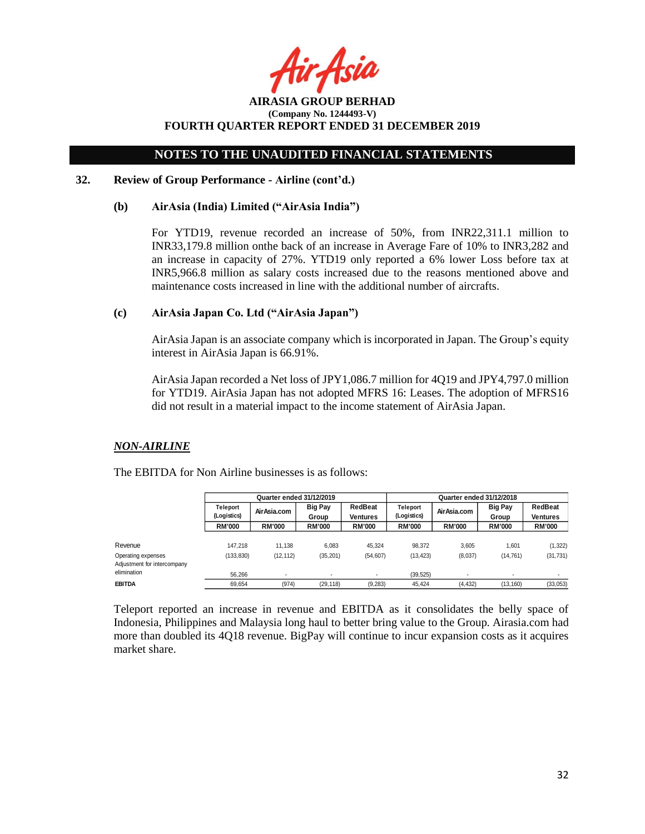$A$ sid

**AIRASIA GROUP BERHAD (Company No. 1244493-V) FOURTH QUARTER REPORT ENDED 31 DECEMBER 2019**

### **32. Review of Group Performance - Airline (cont'd.)**

#### **(b) AirAsia (India) Limited ("AirAsia India")**

For YTD19, revenue recorded an increase of 50%, from INR22,311.1 million to INR33,179.8 million onthe back of an increase in Average Fare of 10% to INR3,282 and an increase in capacity of 27%. YTD19 only reported a 6% lower Loss before tax at INR5,966.8 million as salary costs increased due to the reasons mentioned above and maintenance costs increased in line with the additional number of aircrafts.

# **(c) AirAsia Japan Co. Ltd ("AirAsia Japan")**

AirAsia Japan is an associate company which is incorporated in Japan. The Group's equity interest in AirAsia Japan is 66.91%.

AirAsia Japan recorded a Net loss of JPY1,086.7 million for 4Q19 and JPY4,797.0 million for YTD19. AirAsia Japan has not adopted MFRS 16: Leases. The adoption of MFRS16 did not result in a material impact to the income statement of AirAsia Japan.

### *NON-AIRLINE*

|                                                   | Quarter ended 31/12/2019       |               |                          |                     | Quarter ended 31/12/2018       |               |                          |                     |
|---------------------------------------------------|--------------------------------|---------------|--------------------------|---------------------|--------------------------------|---------------|--------------------------|---------------------|
|                                                   | <b>Teleport</b><br>(Logistics) | Air Asia.com  | <b>Big Pay</b><br>Group  | RedBeat<br>Ventures | <b>Teleport</b><br>(Logistics) | Air Asia.com  | <b>Big Pay</b><br>Group  | RedBeat<br>Ventures |
|                                                   | <b>RM'000</b>                  | <b>RM'000</b> | <b>RM'000</b>            | <b>RM'000</b>       | <b>RM'000</b>                  | <b>RM'000</b> | <b>RM'000</b>            | <b>RM'000</b>       |
| Revenue                                           | 147.218                        | 11.138        | 6.083                    | 45.324              | 98.372                         | 3.605         | 1.601                    | (1, 322)            |
| Operating expenses<br>Adjustment for intercompany | (133, 830)                     | (12, 112)     | (35, 201)                | (54, 607)           | (13, 423)                      | (8,037)       | (14, 761)                | (31, 731)           |
| elimination                                       | 56.266                         | ٠.            | $\overline{\phantom{a}}$ | ٠                   | (39, 525)                      |               | $\overline{\phantom{a}}$ |                     |
| <b>EBITDA</b>                                     | 69.654                         | (974)         | (29, 118)                | (9, 283)            | 45.424                         | (4, 432)      | (13, 160)                | (33,053)            |

The EBITDA for Non Airline businesses is as follows:

Teleport reported an increase in revenue and EBITDA as it consolidates the belly space of Indonesia, Philippines and Malaysia long haul to better bring value to the Group. Airasia.com had more than doubled its 4Q18 revenue. BigPay will continue to incur expansion costs as it acquires market share.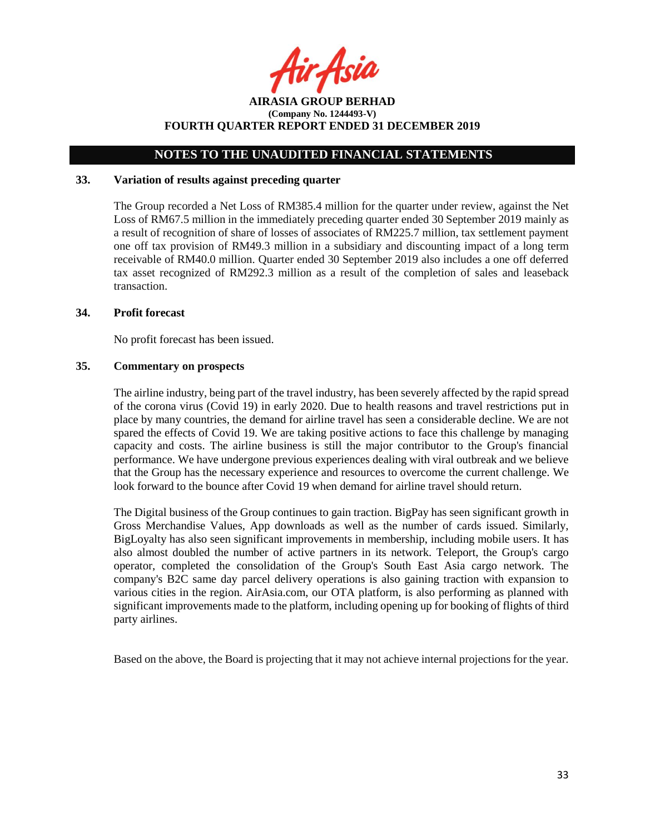ir Asia

**AIRASIA GROUP BERHAD (Company No. 1244493-V) FOURTH QUARTER REPORT ENDED 31 DECEMBER 2019**

### **33. Variation of results against preceding quarter**

The Group recorded a Net Loss of RM385.4 million for the quarter under review, against the Net Loss of RM67.5 million in the immediately preceding quarter ended 30 September 2019 mainly as a result of recognition of share of losses of associates of RM225.7 million, tax settlement payment one off tax provision of RM49.3 million in a subsidiary and discounting impact of a long term receivable of RM40.0 million. Quarter ended 30 September 2019 also includes a one off deferred tax asset recognized of RM292.3 million as a result of the completion of sales and leaseback transaction.

### **34. Profit forecast**

No profit forecast has been issued.

### **35. Commentary on prospects**

The airline industry, being part of the travel industry, has been severely affected by the rapid spread of the corona virus (Covid 19) in early 2020. Due to health reasons and travel restrictions put in place by many countries, the demand for airline travel has seen a considerable decline. We are not spared the effects of Covid 19. We are taking positive actions to face this challenge by managing capacity and costs. The airline business is still the major contributor to the Group's financial performance. We have undergone previous experiences dealing with viral outbreak and we believe that the Group has the necessary experience and resources to overcome the current challenge. We look forward to the bounce after Covid 19 when demand for airline travel should return.

The Digital business of the Group continues to gain traction. BigPay has seen significant growth in Gross Merchandise Values, App downloads as well as the number of cards issued. Similarly, BigLoyalty has also seen significant improvements in membership, including mobile users. It has also almost doubled the number of active partners in its network. Teleport, the Group's cargo operator, completed the consolidation of the Group's South East Asia cargo network. The company's B2C same day parcel delivery operations is also gaining traction with expansion to various cities in the region. AirAsia.com, our OTA platform, is also performing as planned with significant improvements made to the platform, including opening up for booking of flights of third party airlines.

Based on the above, the Board is projecting that it may not achieve internal projections for the year.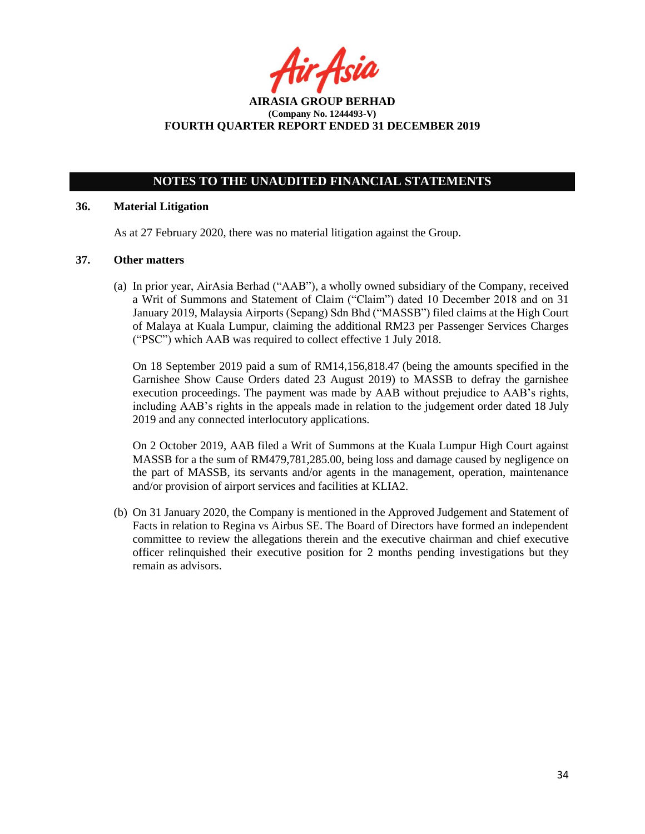r Asid

**AIRASIA GROUP BERHAD (Company No. 1244493-V) FOURTH QUARTER REPORT ENDED 31 DECEMBER 2019**

### **36. Material Litigation**

As at 27 February 2020, there was no material litigation against the Group.

### **37. Other matters**

(a) In prior year, AirAsia Berhad ("AAB"), a wholly owned subsidiary of the Company, received a Writ of Summons and Statement of Claim ("Claim") dated 10 December 2018 and on 31 January 2019, Malaysia Airports (Sepang) Sdn Bhd ("MASSB") filed claims at the High Court of Malaya at Kuala Lumpur, claiming the additional RM23 per Passenger Services Charges ("PSC") which AAB was required to collect effective 1 July 2018.

On 18 September 2019 paid a sum of RM14,156,818.47 (being the amounts specified in the Garnishee Show Cause Orders dated 23 August 2019) to MASSB to defray the garnishee execution proceedings. The payment was made by AAB without prejudice to AAB's rights, including AAB's rights in the appeals made in relation to the judgement order dated 18 July 2019 and any connected interlocutory applications.

On 2 October 2019, AAB filed a Writ of Summons at the Kuala Lumpur High Court against MASSB for a the sum of RM479,781,285.00, being loss and damage caused by negligence on the part of MASSB, its servants and/or agents in the management, operation, maintenance and/or provision of airport services and facilities at KLIA2.

(b) On 31 January 2020, the Company is mentioned in the Approved Judgement and Statement of Facts in relation to Regina vs Airbus SE. The Board of Directors have formed an independent committee to review the allegations therein and the executive chairman and chief executive officer relinquished their executive position for 2 months pending investigations but they remain as advisors.